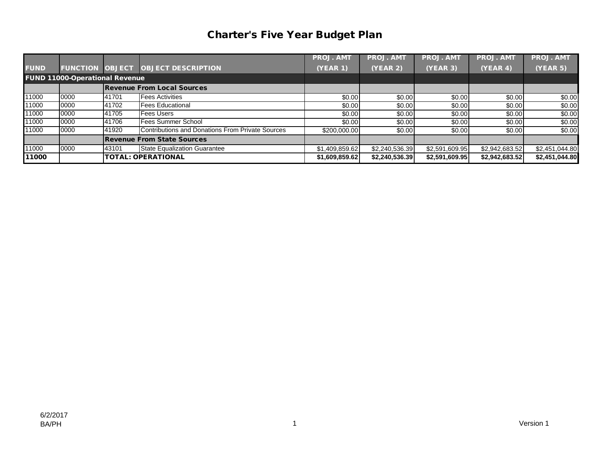## Charter's Five Year Budget Plan

|             |                                       |       |                                                         | <b>PROJ. AMT</b> | <b>PROJ. AMT</b> | <b>PROJ. AMT</b> | <b>PROJ. AMT</b> | <b>PROJ. AMT</b> |
|-------------|---------------------------------------|-------|---------------------------------------------------------|------------------|------------------|------------------|------------------|------------------|
| <b>FUND</b> |                                       |       | <b>FUNCTION OBJECT OBJECT DESCRIPTION</b>               | <b>(YEAR 1)</b>  | (YEAR 2)         | <b>(YEAR 3)</b>  | (YEAR 4)         | <b>(YEAR 5)</b>  |
|             | <b>FUND 11000-Operational Revenue</b> |       |                                                         |                  |                  |                  |                  |                  |
|             |                                       |       | <b>Revenue From Local Sources</b>                       |                  |                  |                  |                  |                  |
| 11000       | 0000                                  | 41701 | <b>Fees Activities</b>                                  | \$0.00           | \$0.00           | \$0.00           | \$0.00           | \$0.00           |
| 11000       | 0000                                  | 41702 | <b>Fees Educational</b>                                 | \$0.00           | \$0.00           | \$0.00           | \$0.00           | \$0.00           |
| 11000       | 0000                                  | 41705 | <b>Fees Users</b>                                       | \$0.00           | \$0.00           | \$0.00           | \$0.00           | \$0.00           |
| 11000       | 0000                                  | 41706 | <b>Fees Summer School</b>                               | \$0.00           | \$0.00           | \$0.00           | \$0.00           | \$0.00           |
| 11000       | 0000                                  | 41920 | <b>Contributions and Donations From Private Sources</b> | \$200,000.00     | \$0.00           | \$0.00           | \$0.00           | \$0.00           |
|             |                                       |       | <b>Revenue From State Sources</b>                       |                  |                  |                  |                  |                  |
| 11000       | 0000                                  | 43101 | <b>State Equalization Guarantee</b>                     | \$1,409,859.62   | \$2,240,536.39   | \$2,591,609.95   | \$2,942,683.52   | \$2,451,044.80   |
| 11000       |                                       |       | <b>TOTAL: OPERATIONAL</b>                               | \$1,609,859.62   | \$2,240,536.39   | \$2,591,609.95   | \$2,942,683.52   | \$2,451,044.80   |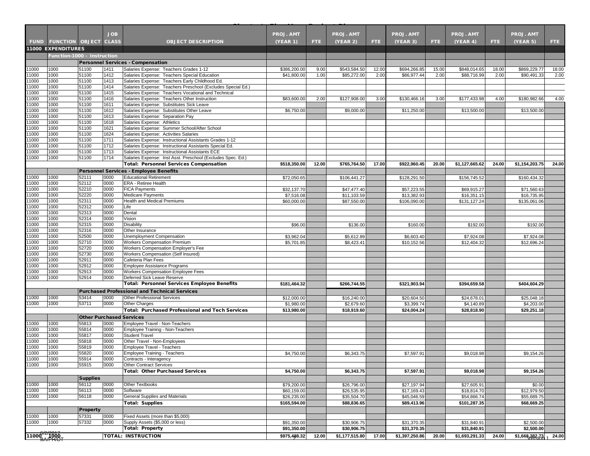|                              |                                   |                                 | <b>JOB</b>   |                                                                                                               | <b>PROJ. AMT</b>           |       | <b>PROJ. AMT</b>           |       | <b>PROJ. AMT</b>           |       | <b>PROJ. AMT</b>           |       | <b>PROJ. AMT</b>                   |       |
|------------------------------|-----------------------------------|---------------------------------|--------------|---------------------------------------------------------------------------------------------------------------|----------------------------|-------|----------------------------|-------|----------------------------|-------|----------------------------|-------|------------------------------------|-------|
|                              | <b>FUND FUNCTION OBJECT CLASS</b> |                                 |              | <b>OBJECT DESCRIPTION</b>                                                                                     | (YEAR 1)                   | FTE.  | (YEAR 2)                   | FTE.  | (YEAR 3)                   | FTE.  | (YEAR 4)                   | FTE.  | (YEAR 5)                           | FTE:  |
|                              | <b>11000 EXPENDITURES</b>         |                                 |              |                                                                                                               |                            |       |                            |       |                            |       |                            |       |                                    |       |
|                              | Function-1000 - Instruction       |                                 |              |                                                                                                               |                            |       |                            |       |                            |       |                            |       |                                    |       |
|                              |                                   |                                 |              | <b>Personnel Services - Compensation</b>                                                                      |                            |       |                            |       |                            |       |                            |       |                                    |       |
| 11000                        | 1000<br>1000                      | 51100<br>51100                  | 1411<br>1412 | Salaries Expense: Teachers Grades 1-12<br>Salaries Expense: Teachers Special Education                        | \$386,200.00               | 9.00  | \$543,584.50               | 12.00 | \$694,266.85               | 15.00 | \$848,014.65               | 18.00 | \$869,229.77                       | 18.00 |
| 11000<br>11000               | 1000                              | 51100                           | 1413         | Salaries Expense: Teachers Early Childhood Ed.                                                                | \$41,800.00                | 1.00  | \$85,272.00                | 2.00  | \$86,977.44                | 2.00  | \$88,716.99                | 2.00  | \$90,491.33                        | 2.00  |
| 11000                        | 1000                              | 51100                           | 1414         | Salaries Expense: Teachers Preschool (Excludes Special Ed.)                                                   |                            |       |                            |       |                            |       |                            |       |                                    |       |
| 11000                        | 1000                              | 51100                           | 1415         | Salaries Expense: Teachers Vocational and Technical                                                           |                            |       |                            |       |                            |       |                            |       |                                    |       |
| 11000                        | 1000                              | 51100                           | 1416         | Salaries Expense: Teachers Other Instruction                                                                  | \$83,600.00                | 2.00  | \$127,908.00               | 3.00  | \$130,466.16               | 3.00  | \$177,433.98               | 4.00  | \$180,982.66                       | 4.00  |
| 11000                        | 1000                              | 51100                           | 1611         | Salaries Expense: Substitutes Sick Leave                                                                      |                            |       |                            |       |                            |       |                            |       |                                    |       |
| 11000<br>11000               | 1000<br>1000                      | 51100<br>51100                  | 1612<br>1613 | Salaries Expense: Substitutes Other Leave<br>Salaries Expense: Separation Pay                                 | \$6,750.00                 |       | \$9,000.00                 |       | \$11,250.00                |       | \$13,500.00                |       | \$13,500.00                        |       |
| 11000                        | 1000                              | 51100                           | 1618         | Salaries Expense: Athletics                                                                                   |                            |       |                            |       |                            |       |                            |       |                                    |       |
| 11000                        | 1000                              | 51100                           | 1621         | Salaries Expense: Summer School/After School                                                                  |                            |       |                            |       |                            |       |                            |       |                                    |       |
| 11000                        | 1000                              | 51100                           | 1624         | Salaries Expense: Activities Salaries                                                                         |                            |       |                            |       |                            |       |                            |       |                                    |       |
| 11000                        | 1000                              | 51100                           | 1711         | Salaries Expense: Instructional Assistants Grades 1-12                                                        |                            |       |                            |       |                            |       |                            |       |                                    |       |
| 11000                        | 1000                              | 51100                           | 1712         | Salaries Expense: Instructional Assistants Special Ed.                                                        |                            |       |                            |       |                            |       |                            |       |                                    |       |
| 11000<br>11000               | 1000<br>1000                      | 51100<br>51100                  | 1713<br>1714 | Salaries Expense: Instructional Assistants ECE<br>Salaries Expense: Inst Asst. Preschool (Excludes Spec. Ed.) |                            |       |                            |       |                            |       |                            |       |                                    |       |
|                              |                                   |                                 |              | <b>Total: Personnel Services Compensation</b>                                                                 | \$518,350.00               | 12.00 | \$765,764.50               | 17.00 | \$922,960.45               | 20.00 | \$1,127,665.62             | 24.00 | \$1,154,203.75                     | 24.00 |
|                              |                                   |                                 |              | <b>Personnel Services - Employee Benefits</b>                                                                 |                            |       |                            |       |                            |       |                            |       |                                    |       |
| 11000                        | 1000                              | 52111                           | 0000         | <b>Educational Retirement</b>                                                                                 | \$72,050.65                |       | \$106,441.27               |       | \$128,291.50               |       | \$156,745.52               |       | \$160,434.32                       |       |
| 11000                        | 1000                              | 52112                           | 0000         | <b>ERA - Retiree Health</b>                                                                                   |                            |       |                            |       |                            |       |                            |       |                                    |       |
| 11000                        | 1000                              | 52210                           | 0000         | <b>FICA Payments</b>                                                                                          | \$32,137.70                |       | \$47,477.40                |       | \$57,223.55                |       | \$69,915.27                |       | \$71,560.63                        |       |
| 11000                        | 1000                              | 52220                           | 0000         | <b>Medicare Payments</b>                                                                                      | \$7,516.08                 |       | \$11.103.59                |       | \$13,382.93                |       | \$16,351.15                |       | \$16,735.95                        |       |
| 11000                        | 1000                              | 52311                           | 0000         | <b>Health and Medical Premiums</b>                                                                            | \$60,000.00                |       | \$87,550.00                |       | \$106,090.00               |       | \$131,127.24               |       | \$135,061.06                       |       |
| 11000<br>11000               | 1000<br>1000                      | 52312                           | 0000<br>0000 | Life<br>Dental                                                                                                |                            |       |                            |       |                            |       |                            |       |                                    |       |
| 11000                        | 1000                              | 52313<br>52314                  | 0000         | Vision                                                                                                        |                            |       |                            |       |                            |       |                            |       |                                    |       |
| 11000                        | 1000                              | 52315                           | 0000         | <b>Disability</b>                                                                                             | \$96.00                    |       | \$136.00                   |       | \$160.00                   |       | \$192.00                   |       | \$192.00                           |       |
| 11000                        | 1000                              | 52316                           | 0000         | Other Insurance                                                                                               |                            |       |                            |       |                            |       |                            |       |                                    |       |
| 11000                        | 1000                              | 52500                           | 0000         | Unemployment Compensation                                                                                     | \$3,962.04                 |       | \$5,612.89                 |       | \$6,603.40                 |       | \$7,924.08                 |       | \$7,924.08                         |       |
| 11000                        | 1000                              | 52710                           | 0000         | Workers Compensation Premium                                                                                  | \$5,701.85                 |       | \$8,423.41                 |       | \$10,152.56                |       | \$12,404.32                |       | \$12,696.24                        |       |
| 11000                        | 1000                              | 52720                           | 0000         | Workers Compensation Employer's Fee                                                                           |                            |       |                            |       |                            |       |                            |       |                                    |       |
| 11000<br>11000               | 1000<br>1000                      | 52730<br>52911                  | 0000<br>0000 | Workers Compensation (Self Insured)<br>Cafeteria Plan Fees                                                    |                            |       |                            |       |                            |       |                            |       |                                    |       |
| 11000                        | 1000                              | 52912                           | 0000         | <b>Employee Assistance Programs</b>                                                                           |                            |       |                            |       |                            |       |                            |       |                                    |       |
| 11000                        | 1000                              | 52913                           | 0000         | Workers Compensation Employee Fees                                                                            |                            |       |                            |       |                            |       |                            |       |                                    |       |
| 11000                        | 1000                              | 52914                           | 0000         | Deferred Sick Leave Reserve                                                                                   |                            |       |                            |       |                            |       |                            |       |                                    |       |
|                              |                                   |                                 |              | <b>Total: Personnel Services Employee Benefits</b>                                                            | \$181,464.32               |       | \$266,744.55               |       | \$321,903.94               |       | \$394,659.58               |       | \$404,604.29                       |       |
|                              |                                   |                                 |              | <b>Purchased Professional and Technical Services</b>                                                          |                            |       |                            |       |                            |       |                            |       |                                    |       |
| 11000                        | 1000                              | 53414                           | 0000         | <b>Other Professional Services</b>                                                                            | \$12,000.00                |       | \$16,240.00                |       | \$20,604.50                |       | \$24,678.01                |       | \$25,048.18                        |       |
| 11000                        | 1000                              | 53711                           | 0000         | <b>Other Charges</b>                                                                                          | \$1,980.00                 |       | \$2,679.60                 |       | \$3,399.74                 |       | \$4,140.89                 |       | \$4,203.00                         |       |
|                              |                                   |                                 |              | <b>Total: Purchased Professional and Tech Services</b>                                                        | \$13,980.00                |       | \$18,919.60                |       | \$24,004.24                |       | \$28,818.90                |       | \$29,251.18                        |       |
|                              |                                   | <b>Other Purchased Services</b> |              |                                                                                                               |                            |       |                            |       |                            |       |                            |       |                                    |       |
| 11000                        | 1000                              | 55813                           | 0000         | Employee Travel - Non-Teachers                                                                                |                            |       |                            |       |                            |       |                            |       |                                    |       |
| 11000<br>11000               | 1000<br>1000                      | 55814<br>55817                  | 0000<br>0000 | Employee Training - Non-Teachers<br><b>Student Travel</b>                                                     |                            |       |                            |       |                            |       |                            |       |                                    |       |
| 11000                        | 1000                              | 55818                           | 0000         | Other Travel - Non-Employees                                                                                  |                            |       |                            |       |                            |       |                            |       |                                    |       |
| 11000                        | 1000                              | 55819                           | 0000         | <b>Employee Travel - Teachers</b>                                                                             |                            |       |                            |       |                            |       |                            |       |                                    |       |
| 11000                        | 1000                              | 55820                           | 0000         | <b>Employee Training - Teachers</b>                                                                           | \$4,750.00                 |       | \$6,343.75                 |       | \$7,597.91                 |       | \$9,018.98                 |       | \$9,154.26                         |       |
| 11000                        | 1000                              | 55914                           | 0000         | Contracts - Interagency                                                                                       |                            |       |                            |       |                            |       |                            |       |                                    |       |
| 11000                        | 1000                              | 55915                           | 0000         | <b>Other Contract Services</b>                                                                                |                            |       |                            |       |                            |       |                            |       |                                    |       |
|                              |                                   |                                 |              | <b>Total: Other Purchased Services</b>                                                                        | \$4,750.00                 |       | \$6,343.75                 |       | \$7,597.91                 |       | \$9,018.98                 |       | \$9,154.26                         |       |
|                              |                                   | <b>Supplies</b>                 |              |                                                                                                               |                            |       |                            |       |                            |       |                            |       |                                    |       |
| 11000<br>11000               | 1000<br>1000                      | 56112<br>56113                  | 0000<br>0000 | Other Textbooks<br>Software                                                                                   | \$79,200.00                |       | \$26,796.00                |       | \$27,197.94                |       | \$27,605.91<br>\$18,814.70 |       | \$0.00<br>\$12,979.50              |       |
| 11000                        | 1000                              | 56118                           | 0000         | <b>General Supplies and Materials</b>                                                                         | \$60,159.00<br>\$26,235.00 |       | \$26,535.95<br>\$35,504.70 |       | \$17,169.43<br>\$45,046.59 |       | \$54,866.74                |       | \$55,689.75                        |       |
|                              |                                   |                                 |              | <b>Total: Supplies</b>                                                                                        | \$165,594.00               |       | \$88,836.65                |       | \$89,413.96                |       | \$101,287.35               |       | \$68,669.25                        |       |
|                              |                                   | Property                        |              |                                                                                                               |                            |       |                            |       |                            |       |                            |       |                                    |       |
| 11000                        | 1000                              | 57331                           | 0000         | Fixed Assets (more than \$5,000)                                                                              |                            |       |                            |       |                            |       |                            |       |                                    |       |
| 11000                        | 1000                              | 57332                           | 0000         | Supply Assets (\$5,000 or less)                                                                               | \$91,350.00                |       | \$30,906.75                |       | \$31,370.35                |       | \$31,840.91                |       | \$2,500.00                         |       |
|                              |                                   |                                 |              | <b>Total: Property</b>                                                                                        | \$91,350.00                |       | \$30,906.75                |       | \$31,370.35                |       | \$31.840.91                |       | \$2.500.00                         |       |
| $11000^{\prime\prime}$ (1000 |                                   |                                 |              | <b>TOTAL: INSTRUCTION</b>                                                                                     | \$975,488.32               | 12.00 | \$1,177,515.80             | 17.00 | \$1,397,250.86             | 20.00 | \$1,693,291.33             | 24.00 | $$1,668,382,73$ <sub>1</sub> 24.00 |       |
|                              |                                   |                                 |              |                                                                                                               |                            |       |                            |       |                            |       |                            |       |                                    |       |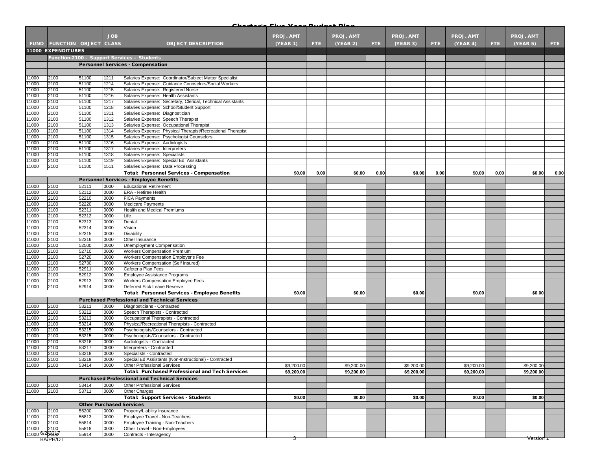| <b>JOB</b><br><b>PROJ. AMT</b><br><b>PROJ. AMT</b><br>PROJ. AMT<br>PROJ. AMT<br>PROJ. AMT<br><b>FUND FUNCTION OBJECT CLASS</b><br><b>(YEAR 1)</b><br>(YEAR 2)<br>(YEAR 3)<br>(YEAR 4)<br>(YEAR 5)<br><b>OBJECT DESCRIPTION</b><br>FTE.<br>FTE.<br>FTE.<br>FTE.<br>FTE:<br><b>11000 EXPENDITURES</b><br>Function-2100 - Support Services - Students<br><b>Personnel Services - Compensation</b><br>Salaries Expense: Coordinator/Subject Matter Specialist<br>11000<br>2100<br>51100<br>1211<br>1000<br>2100<br>51100<br>1214<br>Salaries Expense: Guidance Counselors/Social Workers<br>11000<br>2100<br>51100<br>1215<br>Salaries Expense: Registered Nurse<br>11000<br>2100<br>51100<br>1216<br>Salaries Expense: Health Assistants<br>2100<br>11000<br>51100<br>1217<br>Salaries Expense: Secretary, Clerical, Technical Assistants<br>11000<br>2100<br>51100<br>1218<br>Salaries Expense: School/Student Support<br>1000<br>2100<br>51100<br>1311<br>Salaries Expense: Diagnostician<br>1000<br>2100<br>51100<br>1312<br>Salaries Expense: Speech Therapist<br>11000<br>2100<br>51100<br>1313<br>Salaries Expense: Occupational Therapist<br>1000<br>2100<br>51100<br>1314<br>Salaries Expense: Physical Therapist/Recreational Therapist<br>11000<br>2100<br>51100<br>1315<br>Salaries Expense: Psychologist Counselors<br>11000<br>2100<br>51100<br>1316<br>Salaries Expense: Audiologists<br>2100<br>1317<br>Salaries Expense: Interpreters<br>1000<br>51100<br>11000<br>2100<br>51100<br>1318<br>Salaries Expense: Specialists<br>11000<br>2100<br>51100<br>1319<br>Salaries Expense: Special Ed. Assistants<br>2100<br>11000<br>51100<br>1511<br>Salaries Expense: Data Processing<br>0.00<br><b>Total: Personnel Services - Compensation</b><br>\$0.00<br>0.00<br>\$0.00<br>0.00<br>\$0.00<br>0.00<br>\$0.00<br>0.00<br>\$0.00<br>Personnel Services - Employee Benefits<br>11000<br>2100<br>52111<br>0000<br><b>Educational Retirement</b><br>2100<br>0000<br>11000<br>52112<br>ERA - Retiree Health<br>1000<br>2100<br>52210<br>0000<br><b>FICA Payments</b><br>52220<br>1000<br>2100<br>0000<br><b>Medicare Payments</b><br>11000<br>2100<br>52311<br>0000<br>Health and Medical Premiums<br>1000<br>2100<br>52312<br>0000<br>Life<br>11000<br>2100<br>52313<br>0000<br>Dental<br>11000<br>2100<br>52314<br>0000<br>Vision<br>2100<br>1000<br>52315<br>0000<br>Disability<br>11000<br>2100<br>52316<br>0000<br>Other Insurance<br>11000<br>2100<br>52500<br>0000<br>Unemployment Compensation<br>2100<br>1000<br>52710<br>0000<br>Workers Compensation Premium<br>0000<br>11000<br>2100<br>52720<br>Workers Compensation Employer's Fee<br>11000<br>2100<br>52730<br>0000<br>Workers Compensation (Self Insured)<br>1000<br>2100<br>52911<br>0000<br>Cafeteria Plan Fees<br>11000<br>2100<br>52912<br>0000<br>Employee Assistance Programs<br>2100<br>52913<br>0000<br>Workers Compensation Employee Fees<br>1000<br>1000<br>2100<br>52914<br>0000<br>Deferred Sick Leave Reserve<br>Total: Personnel Services - Employee Benefits<br>\$0.00<br>\$0.00<br>\$0.00<br>\$0.00<br>\$0.00<br><b>Purchased Professional and Technical Services</b><br>2100<br>53211<br>0000<br>Diagnosticians - Contracted<br>11000<br>2100<br>53212<br>0000<br>Speech Therapists - Contracted<br>2100<br>1000<br>53213<br>0000<br>Occupational Therapists - Contracted<br>11000<br>2100<br>53214<br>0000<br>Physical/Recreational Therapists - Contracted<br>1000<br>2100<br>53215<br>0000<br>Psychologists/Counselors - Contracted<br>1000<br>2100<br>53215<br>0000<br>Psychologists/Counselors - Contracted<br>1000<br>2100<br>53216<br>0000<br>Audiologists - Contracted<br>1000<br>2100<br>53217<br>0000<br>Interpreters - Contracted<br>11000<br>2100<br>53218<br>0000<br>Specialists - Contracted<br>2100<br>53219<br>0000<br>Special Ed Assistants (Non-Instructional) - Contracted<br>11000<br>53414<br>2100<br>0000<br>\$9,200.00<br>\$9,200.00<br>\$9,200.00<br><b>Other Professional Services</b><br>\$9,200.00<br>\$9,200.00<br><b>Total: Purchased Professional and Tech Services</b><br>\$9,200.00<br>\$9,200.00<br>\$9,200.00<br>\$9,200.00<br>\$9,200.00<br><b>Purchased Professional and Technical Services</b><br>11000<br>2100<br>53414<br>0000<br><b>Other Professional Services</b><br>11000<br>0000<br>2100<br>53711<br><b>Other Charges</b><br><b>Total: Support Services - Students</b><br>\$0.00<br>\$0.00<br>\$0.00<br>\$0.00<br>\$0.00<br><b>Other Purchased Services</b><br>11000<br>2100<br>55200<br>0000<br>Property/Liability Insurance<br>2100<br>11000<br>55813<br>0000<br>Employee Travel - Non-Teachers<br>2100<br>55814<br>0000<br>Employee Training - Non-Teachers<br>2100<br>55818<br>0000<br>Other Travel - Non-Employees<br>11000 6/2/2400<br>55914<br>0000<br>Contracts - Interagency<br><u>Version T</u><br>BA/PH/DT<br>उ |       |  |  | وممكن مستلك | ملمستك | بلجانك |  |  |  |  |
|-------------------------------------------------------------------------------------------------------------------------------------------------------------------------------------------------------------------------------------------------------------------------------------------------------------------------------------------------------------------------------------------------------------------------------------------------------------------------------------------------------------------------------------------------------------------------------------------------------------------------------------------------------------------------------------------------------------------------------------------------------------------------------------------------------------------------------------------------------------------------------------------------------------------------------------------------------------------------------------------------------------------------------------------------------------------------------------------------------------------------------------------------------------------------------------------------------------------------------------------------------------------------------------------------------------------------------------------------------------------------------------------------------------------------------------------------------------------------------------------------------------------------------------------------------------------------------------------------------------------------------------------------------------------------------------------------------------------------------------------------------------------------------------------------------------------------------------------------------------------------------------------------------------------------------------------------------------------------------------------------------------------------------------------------------------------------------------------------------------------------------------------------------------------------------------------------------------------------------------------------------------------------------------------------------------------------------------------------------------------------------------------------------------------------------------------------------------------------------------------------------------------------------------------------------------------------------------------------------------------------------------------------------------------------------------------------------------------------------------------------------------------------------------------------------------------------------------------------------------------------------------------------------------------------------------------------------------------------------------------------------------------------------------------------------------------------------------------------------------------------------------------------------------------------------------------------------------------------------------------------------------------------------------------------------------------------------------------------------------------------------------------------------------------------------------------------------------------------------------------------------------------------------------------------------------------------------------------------------------------------------------------------------------------------------------------------------------------------------------------------------------------------------------------------------------------------------------------------------------------------------------------------------------------------------------------------------------------------------------------------------------------------------------------------------------------------------------------------------------------------------------------------------------------------------------------------------------------------------------------------------------------------------------------------------------------------------------------------------------------------------------------------------------------------------------------------------------------------------------------------------------------------------------------------------------------------------------------------------------------------------------------------------------------------------------------------------------------------------------------------------------------------------------------------------------------------------------------------------------|-------|--|--|-------------|--------|--------|--|--|--|--|
|                                                                                                                                                                                                                                                                                                                                                                                                                                                                                                                                                                                                                                                                                                                                                                                                                                                                                                                                                                                                                                                                                                                                                                                                                                                                                                                                                                                                                                                                                                                                                                                                                                                                                                                                                                                                                                                                                                                                                                                                                                                                                                                                                                                                                                                                                                                                                                                                                                                                                                                                                                                                                                                                                                                                                                                                                                                                                                                                                                                                                                                                                                                                                                                                                                                                                                                                                                                                                                                                                                                                                                                                                                                                                                                                                                                                                                                                                                                                                                                                                                                                                                                                                                                                                                                                                                                                                                                                                                                                                                                                                                                                                                                                                                                                                                                                                                                             |       |  |  |             |        |        |  |  |  |  |
|                                                                                                                                                                                                                                                                                                                                                                                                                                                                                                                                                                                                                                                                                                                                                                                                                                                                                                                                                                                                                                                                                                                                                                                                                                                                                                                                                                                                                                                                                                                                                                                                                                                                                                                                                                                                                                                                                                                                                                                                                                                                                                                                                                                                                                                                                                                                                                                                                                                                                                                                                                                                                                                                                                                                                                                                                                                                                                                                                                                                                                                                                                                                                                                                                                                                                                                                                                                                                                                                                                                                                                                                                                                                                                                                                                                                                                                                                                                                                                                                                                                                                                                                                                                                                                                                                                                                                                                                                                                                                                                                                                                                                                                                                                                                                                                                                                                             |       |  |  |             |        |        |  |  |  |  |
|                                                                                                                                                                                                                                                                                                                                                                                                                                                                                                                                                                                                                                                                                                                                                                                                                                                                                                                                                                                                                                                                                                                                                                                                                                                                                                                                                                                                                                                                                                                                                                                                                                                                                                                                                                                                                                                                                                                                                                                                                                                                                                                                                                                                                                                                                                                                                                                                                                                                                                                                                                                                                                                                                                                                                                                                                                                                                                                                                                                                                                                                                                                                                                                                                                                                                                                                                                                                                                                                                                                                                                                                                                                                                                                                                                                                                                                                                                                                                                                                                                                                                                                                                                                                                                                                                                                                                                                                                                                                                                                                                                                                                                                                                                                                                                                                                                                             |       |  |  |             |        |        |  |  |  |  |
|                                                                                                                                                                                                                                                                                                                                                                                                                                                                                                                                                                                                                                                                                                                                                                                                                                                                                                                                                                                                                                                                                                                                                                                                                                                                                                                                                                                                                                                                                                                                                                                                                                                                                                                                                                                                                                                                                                                                                                                                                                                                                                                                                                                                                                                                                                                                                                                                                                                                                                                                                                                                                                                                                                                                                                                                                                                                                                                                                                                                                                                                                                                                                                                                                                                                                                                                                                                                                                                                                                                                                                                                                                                                                                                                                                                                                                                                                                                                                                                                                                                                                                                                                                                                                                                                                                                                                                                                                                                                                                                                                                                                                                                                                                                                                                                                                                                             |       |  |  |             |        |        |  |  |  |  |
|                                                                                                                                                                                                                                                                                                                                                                                                                                                                                                                                                                                                                                                                                                                                                                                                                                                                                                                                                                                                                                                                                                                                                                                                                                                                                                                                                                                                                                                                                                                                                                                                                                                                                                                                                                                                                                                                                                                                                                                                                                                                                                                                                                                                                                                                                                                                                                                                                                                                                                                                                                                                                                                                                                                                                                                                                                                                                                                                                                                                                                                                                                                                                                                                                                                                                                                                                                                                                                                                                                                                                                                                                                                                                                                                                                                                                                                                                                                                                                                                                                                                                                                                                                                                                                                                                                                                                                                                                                                                                                                                                                                                                                                                                                                                                                                                                                                             |       |  |  |             |        |        |  |  |  |  |
|                                                                                                                                                                                                                                                                                                                                                                                                                                                                                                                                                                                                                                                                                                                                                                                                                                                                                                                                                                                                                                                                                                                                                                                                                                                                                                                                                                                                                                                                                                                                                                                                                                                                                                                                                                                                                                                                                                                                                                                                                                                                                                                                                                                                                                                                                                                                                                                                                                                                                                                                                                                                                                                                                                                                                                                                                                                                                                                                                                                                                                                                                                                                                                                                                                                                                                                                                                                                                                                                                                                                                                                                                                                                                                                                                                                                                                                                                                                                                                                                                                                                                                                                                                                                                                                                                                                                                                                                                                                                                                                                                                                                                                                                                                                                                                                                                                                             |       |  |  |             |        |        |  |  |  |  |
|                                                                                                                                                                                                                                                                                                                                                                                                                                                                                                                                                                                                                                                                                                                                                                                                                                                                                                                                                                                                                                                                                                                                                                                                                                                                                                                                                                                                                                                                                                                                                                                                                                                                                                                                                                                                                                                                                                                                                                                                                                                                                                                                                                                                                                                                                                                                                                                                                                                                                                                                                                                                                                                                                                                                                                                                                                                                                                                                                                                                                                                                                                                                                                                                                                                                                                                                                                                                                                                                                                                                                                                                                                                                                                                                                                                                                                                                                                                                                                                                                                                                                                                                                                                                                                                                                                                                                                                                                                                                                                                                                                                                                                                                                                                                                                                                                                                             |       |  |  |             |        |        |  |  |  |  |
|                                                                                                                                                                                                                                                                                                                                                                                                                                                                                                                                                                                                                                                                                                                                                                                                                                                                                                                                                                                                                                                                                                                                                                                                                                                                                                                                                                                                                                                                                                                                                                                                                                                                                                                                                                                                                                                                                                                                                                                                                                                                                                                                                                                                                                                                                                                                                                                                                                                                                                                                                                                                                                                                                                                                                                                                                                                                                                                                                                                                                                                                                                                                                                                                                                                                                                                                                                                                                                                                                                                                                                                                                                                                                                                                                                                                                                                                                                                                                                                                                                                                                                                                                                                                                                                                                                                                                                                                                                                                                                                                                                                                                                                                                                                                                                                                                                                             |       |  |  |             |        |        |  |  |  |  |
|                                                                                                                                                                                                                                                                                                                                                                                                                                                                                                                                                                                                                                                                                                                                                                                                                                                                                                                                                                                                                                                                                                                                                                                                                                                                                                                                                                                                                                                                                                                                                                                                                                                                                                                                                                                                                                                                                                                                                                                                                                                                                                                                                                                                                                                                                                                                                                                                                                                                                                                                                                                                                                                                                                                                                                                                                                                                                                                                                                                                                                                                                                                                                                                                                                                                                                                                                                                                                                                                                                                                                                                                                                                                                                                                                                                                                                                                                                                                                                                                                                                                                                                                                                                                                                                                                                                                                                                                                                                                                                                                                                                                                                                                                                                                                                                                                                                             |       |  |  |             |        |        |  |  |  |  |
|                                                                                                                                                                                                                                                                                                                                                                                                                                                                                                                                                                                                                                                                                                                                                                                                                                                                                                                                                                                                                                                                                                                                                                                                                                                                                                                                                                                                                                                                                                                                                                                                                                                                                                                                                                                                                                                                                                                                                                                                                                                                                                                                                                                                                                                                                                                                                                                                                                                                                                                                                                                                                                                                                                                                                                                                                                                                                                                                                                                                                                                                                                                                                                                                                                                                                                                                                                                                                                                                                                                                                                                                                                                                                                                                                                                                                                                                                                                                                                                                                                                                                                                                                                                                                                                                                                                                                                                                                                                                                                                                                                                                                                                                                                                                                                                                                                                             |       |  |  |             |        |        |  |  |  |  |
|                                                                                                                                                                                                                                                                                                                                                                                                                                                                                                                                                                                                                                                                                                                                                                                                                                                                                                                                                                                                                                                                                                                                                                                                                                                                                                                                                                                                                                                                                                                                                                                                                                                                                                                                                                                                                                                                                                                                                                                                                                                                                                                                                                                                                                                                                                                                                                                                                                                                                                                                                                                                                                                                                                                                                                                                                                                                                                                                                                                                                                                                                                                                                                                                                                                                                                                                                                                                                                                                                                                                                                                                                                                                                                                                                                                                                                                                                                                                                                                                                                                                                                                                                                                                                                                                                                                                                                                                                                                                                                                                                                                                                                                                                                                                                                                                                                                             |       |  |  |             |        |        |  |  |  |  |
|                                                                                                                                                                                                                                                                                                                                                                                                                                                                                                                                                                                                                                                                                                                                                                                                                                                                                                                                                                                                                                                                                                                                                                                                                                                                                                                                                                                                                                                                                                                                                                                                                                                                                                                                                                                                                                                                                                                                                                                                                                                                                                                                                                                                                                                                                                                                                                                                                                                                                                                                                                                                                                                                                                                                                                                                                                                                                                                                                                                                                                                                                                                                                                                                                                                                                                                                                                                                                                                                                                                                                                                                                                                                                                                                                                                                                                                                                                                                                                                                                                                                                                                                                                                                                                                                                                                                                                                                                                                                                                                                                                                                                                                                                                                                                                                                                                                             |       |  |  |             |        |        |  |  |  |  |
|                                                                                                                                                                                                                                                                                                                                                                                                                                                                                                                                                                                                                                                                                                                                                                                                                                                                                                                                                                                                                                                                                                                                                                                                                                                                                                                                                                                                                                                                                                                                                                                                                                                                                                                                                                                                                                                                                                                                                                                                                                                                                                                                                                                                                                                                                                                                                                                                                                                                                                                                                                                                                                                                                                                                                                                                                                                                                                                                                                                                                                                                                                                                                                                                                                                                                                                                                                                                                                                                                                                                                                                                                                                                                                                                                                                                                                                                                                                                                                                                                                                                                                                                                                                                                                                                                                                                                                                                                                                                                                                                                                                                                                                                                                                                                                                                                                                             |       |  |  |             |        |        |  |  |  |  |
|                                                                                                                                                                                                                                                                                                                                                                                                                                                                                                                                                                                                                                                                                                                                                                                                                                                                                                                                                                                                                                                                                                                                                                                                                                                                                                                                                                                                                                                                                                                                                                                                                                                                                                                                                                                                                                                                                                                                                                                                                                                                                                                                                                                                                                                                                                                                                                                                                                                                                                                                                                                                                                                                                                                                                                                                                                                                                                                                                                                                                                                                                                                                                                                                                                                                                                                                                                                                                                                                                                                                                                                                                                                                                                                                                                                                                                                                                                                                                                                                                                                                                                                                                                                                                                                                                                                                                                                                                                                                                                                                                                                                                                                                                                                                                                                                                                                             |       |  |  |             |        |        |  |  |  |  |
|                                                                                                                                                                                                                                                                                                                                                                                                                                                                                                                                                                                                                                                                                                                                                                                                                                                                                                                                                                                                                                                                                                                                                                                                                                                                                                                                                                                                                                                                                                                                                                                                                                                                                                                                                                                                                                                                                                                                                                                                                                                                                                                                                                                                                                                                                                                                                                                                                                                                                                                                                                                                                                                                                                                                                                                                                                                                                                                                                                                                                                                                                                                                                                                                                                                                                                                                                                                                                                                                                                                                                                                                                                                                                                                                                                                                                                                                                                                                                                                                                                                                                                                                                                                                                                                                                                                                                                                                                                                                                                                                                                                                                                                                                                                                                                                                                                                             |       |  |  |             |        |        |  |  |  |  |
|                                                                                                                                                                                                                                                                                                                                                                                                                                                                                                                                                                                                                                                                                                                                                                                                                                                                                                                                                                                                                                                                                                                                                                                                                                                                                                                                                                                                                                                                                                                                                                                                                                                                                                                                                                                                                                                                                                                                                                                                                                                                                                                                                                                                                                                                                                                                                                                                                                                                                                                                                                                                                                                                                                                                                                                                                                                                                                                                                                                                                                                                                                                                                                                                                                                                                                                                                                                                                                                                                                                                                                                                                                                                                                                                                                                                                                                                                                                                                                                                                                                                                                                                                                                                                                                                                                                                                                                                                                                                                                                                                                                                                                                                                                                                                                                                                                                             |       |  |  |             |        |        |  |  |  |  |
|                                                                                                                                                                                                                                                                                                                                                                                                                                                                                                                                                                                                                                                                                                                                                                                                                                                                                                                                                                                                                                                                                                                                                                                                                                                                                                                                                                                                                                                                                                                                                                                                                                                                                                                                                                                                                                                                                                                                                                                                                                                                                                                                                                                                                                                                                                                                                                                                                                                                                                                                                                                                                                                                                                                                                                                                                                                                                                                                                                                                                                                                                                                                                                                                                                                                                                                                                                                                                                                                                                                                                                                                                                                                                                                                                                                                                                                                                                                                                                                                                                                                                                                                                                                                                                                                                                                                                                                                                                                                                                                                                                                                                                                                                                                                                                                                                                                             |       |  |  |             |        |        |  |  |  |  |
|                                                                                                                                                                                                                                                                                                                                                                                                                                                                                                                                                                                                                                                                                                                                                                                                                                                                                                                                                                                                                                                                                                                                                                                                                                                                                                                                                                                                                                                                                                                                                                                                                                                                                                                                                                                                                                                                                                                                                                                                                                                                                                                                                                                                                                                                                                                                                                                                                                                                                                                                                                                                                                                                                                                                                                                                                                                                                                                                                                                                                                                                                                                                                                                                                                                                                                                                                                                                                                                                                                                                                                                                                                                                                                                                                                                                                                                                                                                                                                                                                                                                                                                                                                                                                                                                                                                                                                                                                                                                                                                                                                                                                                                                                                                                                                                                                                                             |       |  |  |             |        |        |  |  |  |  |
|                                                                                                                                                                                                                                                                                                                                                                                                                                                                                                                                                                                                                                                                                                                                                                                                                                                                                                                                                                                                                                                                                                                                                                                                                                                                                                                                                                                                                                                                                                                                                                                                                                                                                                                                                                                                                                                                                                                                                                                                                                                                                                                                                                                                                                                                                                                                                                                                                                                                                                                                                                                                                                                                                                                                                                                                                                                                                                                                                                                                                                                                                                                                                                                                                                                                                                                                                                                                                                                                                                                                                                                                                                                                                                                                                                                                                                                                                                                                                                                                                                                                                                                                                                                                                                                                                                                                                                                                                                                                                                                                                                                                                                                                                                                                                                                                                                                             |       |  |  |             |        |        |  |  |  |  |
|                                                                                                                                                                                                                                                                                                                                                                                                                                                                                                                                                                                                                                                                                                                                                                                                                                                                                                                                                                                                                                                                                                                                                                                                                                                                                                                                                                                                                                                                                                                                                                                                                                                                                                                                                                                                                                                                                                                                                                                                                                                                                                                                                                                                                                                                                                                                                                                                                                                                                                                                                                                                                                                                                                                                                                                                                                                                                                                                                                                                                                                                                                                                                                                                                                                                                                                                                                                                                                                                                                                                                                                                                                                                                                                                                                                                                                                                                                                                                                                                                                                                                                                                                                                                                                                                                                                                                                                                                                                                                                                                                                                                                                                                                                                                                                                                                                                             |       |  |  |             |        |        |  |  |  |  |
|                                                                                                                                                                                                                                                                                                                                                                                                                                                                                                                                                                                                                                                                                                                                                                                                                                                                                                                                                                                                                                                                                                                                                                                                                                                                                                                                                                                                                                                                                                                                                                                                                                                                                                                                                                                                                                                                                                                                                                                                                                                                                                                                                                                                                                                                                                                                                                                                                                                                                                                                                                                                                                                                                                                                                                                                                                                                                                                                                                                                                                                                                                                                                                                                                                                                                                                                                                                                                                                                                                                                                                                                                                                                                                                                                                                                                                                                                                                                                                                                                                                                                                                                                                                                                                                                                                                                                                                                                                                                                                                                                                                                                                                                                                                                                                                                                                                             |       |  |  |             |        |        |  |  |  |  |
|                                                                                                                                                                                                                                                                                                                                                                                                                                                                                                                                                                                                                                                                                                                                                                                                                                                                                                                                                                                                                                                                                                                                                                                                                                                                                                                                                                                                                                                                                                                                                                                                                                                                                                                                                                                                                                                                                                                                                                                                                                                                                                                                                                                                                                                                                                                                                                                                                                                                                                                                                                                                                                                                                                                                                                                                                                                                                                                                                                                                                                                                                                                                                                                                                                                                                                                                                                                                                                                                                                                                                                                                                                                                                                                                                                                                                                                                                                                                                                                                                                                                                                                                                                                                                                                                                                                                                                                                                                                                                                                                                                                                                                                                                                                                                                                                                                                             |       |  |  |             |        |        |  |  |  |  |
|                                                                                                                                                                                                                                                                                                                                                                                                                                                                                                                                                                                                                                                                                                                                                                                                                                                                                                                                                                                                                                                                                                                                                                                                                                                                                                                                                                                                                                                                                                                                                                                                                                                                                                                                                                                                                                                                                                                                                                                                                                                                                                                                                                                                                                                                                                                                                                                                                                                                                                                                                                                                                                                                                                                                                                                                                                                                                                                                                                                                                                                                                                                                                                                                                                                                                                                                                                                                                                                                                                                                                                                                                                                                                                                                                                                                                                                                                                                                                                                                                                                                                                                                                                                                                                                                                                                                                                                                                                                                                                                                                                                                                                                                                                                                                                                                                                                             |       |  |  |             |        |        |  |  |  |  |
|                                                                                                                                                                                                                                                                                                                                                                                                                                                                                                                                                                                                                                                                                                                                                                                                                                                                                                                                                                                                                                                                                                                                                                                                                                                                                                                                                                                                                                                                                                                                                                                                                                                                                                                                                                                                                                                                                                                                                                                                                                                                                                                                                                                                                                                                                                                                                                                                                                                                                                                                                                                                                                                                                                                                                                                                                                                                                                                                                                                                                                                                                                                                                                                                                                                                                                                                                                                                                                                                                                                                                                                                                                                                                                                                                                                                                                                                                                                                                                                                                                                                                                                                                                                                                                                                                                                                                                                                                                                                                                                                                                                                                                                                                                                                                                                                                                                             |       |  |  |             |        |        |  |  |  |  |
|                                                                                                                                                                                                                                                                                                                                                                                                                                                                                                                                                                                                                                                                                                                                                                                                                                                                                                                                                                                                                                                                                                                                                                                                                                                                                                                                                                                                                                                                                                                                                                                                                                                                                                                                                                                                                                                                                                                                                                                                                                                                                                                                                                                                                                                                                                                                                                                                                                                                                                                                                                                                                                                                                                                                                                                                                                                                                                                                                                                                                                                                                                                                                                                                                                                                                                                                                                                                                                                                                                                                                                                                                                                                                                                                                                                                                                                                                                                                                                                                                                                                                                                                                                                                                                                                                                                                                                                                                                                                                                                                                                                                                                                                                                                                                                                                                                                             |       |  |  |             |        |        |  |  |  |  |
|                                                                                                                                                                                                                                                                                                                                                                                                                                                                                                                                                                                                                                                                                                                                                                                                                                                                                                                                                                                                                                                                                                                                                                                                                                                                                                                                                                                                                                                                                                                                                                                                                                                                                                                                                                                                                                                                                                                                                                                                                                                                                                                                                                                                                                                                                                                                                                                                                                                                                                                                                                                                                                                                                                                                                                                                                                                                                                                                                                                                                                                                                                                                                                                                                                                                                                                                                                                                                                                                                                                                                                                                                                                                                                                                                                                                                                                                                                                                                                                                                                                                                                                                                                                                                                                                                                                                                                                                                                                                                                                                                                                                                                                                                                                                                                                                                                                             |       |  |  |             |        |        |  |  |  |  |
|                                                                                                                                                                                                                                                                                                                                                                                                                                                                                                                                                                                                                                                                                                                                                                                                                                                                                                                                                                                                                                                                                                                                                                                                                                                                                                                                                                                                                                                                                                                                                                                                                                                                                                                                                                                                                                                                                                                                                                                                                                                                                                                                                                                                                                                                                                                                                                                                                                                                                                                                                                                                                                                                                                                                                                                                                                                                                                                                                                                                                                                                                                                                                                                                                                                                                                                                                                                                                                                                                                                                                                                                                                                                                                                                                                                                                                                                                                                                                                                                                                                                                                                                                                                                                                                                                                                                                                                                                                                                                                                                                                                                                                                                                                                                                                                                                                                             |       |  |  |             |        |        |  |  |  |  |
|                                                                                                                                                                                                                                                                                                                                                                                                                                                                                                                                                                                                                                                                                                                                                                                                                                                                                                                                                                                                                                                                                                                                                                                                                                                                                                                                                                                                                                                                                                                                                                                                                                                                                                                                                                                                                                                                                                                                                                                                                                                                                                                                                                                                                                                                                                                                                                                                                                                                                                                                                                                                                                                                                                                                                                                                                                                                                                                                                                                                                                                                                                                                                                                                                                                                                                                                                                                                                                                                                                                                                                                                                                                                                                                                                                                                                                                                                                                                                                                                                                                                                                                                                                                                                                                                                                                                                                                                                                                                                                                                                                                                                                                                                                                                                                                                                                                             |       |  |  |             |        |        |  |  |  |  |
|                                                                                                                                                                                                                                                                                                                                                                                                                                                                                                                                                                                                                                                                                                                                                                                                                                                                                                                                                                                                                                                                                                                                                                                                                                                                                                                                                                                                                                                                                                                                                                                                                                                                                                                                                                                                                                                                                                                                                                                                                                                                                                                                                                                                                                                                                                                                                                                                                                                                                                                                                                                                                                                                                                                                                                                                                                                                                                                                                                                                                                                                                                                                                                                                                                                                                                                                                                                                                                                                                                                                                                                                                                                                                                                                                                                                                                                                                                                                                                                                                                                                                                                                                                                                                                                                                                                                                                                                                                                                                                                                                                                                                                                                                                                                                                                                                                                             |       |  |  |             |        |        |  |  |  |  |
|                                                                                                                                                                                                                                                                                                                                                                                                                                                                                                                                                                                                                                                                                                                                                                                                                                                                                                                                                                                                                                                                                                                                                                                                                                                                                                                                                                                                                                                                                                                                                                                                                                                                                                                                                                                                                                                                                                                                                                                                                                                                                                                                                                                                                                                                                                                                                                                                                                                                                                                                                                                                                                                                                                                                                                                                                                                                                                                                                                                                                                                                                                                                                                                                                                                                                                                                                                                                                                                                                                                                                                                                                                                                                                                                                                                                                                                                                                                                                                                                                                                                                                                                                                                                                                                                                                                                                                                                                                                                                                                                                                                                                                                                                                                                                                                                                                                             |       |  |  |             |        |        |  |  |  |  |
|                                                                                                                                                                                                                                                                                                                                                                                                                                                                                                                                                                                                                                                                                                                                                                                                                                                                                                                                                                                                                                                                                                                                                                                                                                                                                                                                                                                                                                                                                                                                                                                                                                                                                                                                                                                                                                                                                                                                                                                                                                                                                                                                                                                                                                                                                                                                                                                                                                                                                                                                                                                                                                                                                                                                                                                                                                                                                                                                                                                                                                                                                                                                                                                                                                                                                                                                                                                                                                                                                                                                                                                                                                                                                                                                                                                                                                                                                                                                                                                                                                                                                                                                                                                                                                                                                                                                                                                                                                                                                                                                                                                                                                                                                                                                                                                                                                                             |       |  |  |             |        |        |  |  |  |  |
|                                                                                                                                                                                                                                                                                                                                                                                                                                                                                                                                                                                                                                                                                                                                                                                                                                                                                                                                                                                                                                                                                                                                                                                                                                                                                                                                                                                                                                                                                                                                                                                                                                                                                                                                                                                                                                                                                                                                                                                                                                                                                                                                                                                                                                                                                                                                                                                                                                                                                                                                                                                                                                                                                                                                                                                                                                                                                                                                                                                                                                                                                                                                                                                                                                                                                                                                                                                                                                                                                                                                                                                                                                                                                                                                                                                                                                                                                                                                                                                                                                                                                                                                                                                                                                                                                                                                                                                                                                                                                                                                                                                                                                                                                                                                                                                                                                                             |       |  |  |             |        |        |  |  |  |  |
|                                                                                                                                                                                                                                                                                                                                                                                                                                                                                                                                                                                                                                                                                                                                                                                                                                                                                                                                                                                                                                                                                                                                                                                                                                                                                                                                                                                                                                                                                                                                                                                                                                                                                                                                                                                                                                                                                                                                                                                                                                                                                                                                                                                                                                                                                                                                                                                                                                                                                                                                                                                                                                                                                                                                                                                                                                                                                                                                                                                                                                                                                                                                                                                                                                                                                                                                                                                                                                                                                                                                                                                                                                                                                                                                                                                                                                                                                                                                                                                                                                                                                                                                                                                                                                                                                                                                                                                                                                                                                                                                                                                                                                                                                                                                                                                                                                                             |       |  |  |             |        |        |  |  |  |  |
|                                                                                                                                                                                                                                                                                                                                                                                                                                                                                                                                                                                                                                                                                                                                                                                                                                                                                                                                                                                                                                                                                                                                                                                                                                                                                                                                                                                                                                                                                                                                                                                                                                                                                                                                                                                                                                                                                                                                                                                                                                                                                                                                                                                                                                                                                                                                                                                                                                                                                                                                                                                                                                                                                                                                                                                                                                                                                                                                                                                                                                                                                                                                                                                                                                                                                                                                                                                                                                                                                                                                                                                                                                                                                                                                                                                                                                                                                                                                                                                                                                                                                                                                                                                                                                                                                                                                                                                                                                                                                                                                                                                                                                                                                                                                                                                                                                                             |       |  |  |             |        |        |  |  |  |  |
|                                                                                                                                                                                                                                                                                                                                                                                                                                                                                                                                                                                                                                                                                                                                                                                                                                                                                                                                                                                                                                                                                                                                                                                                                                                                                                                                                                                                                                                                                                                                                                                                                                                                                                                                                                                                                                                                                                                                                                                                                                                                                                                                                                                                                                                                                                                                                                                                                                                                                                                                                                                                                                                                                                                                                                                                                                                                                                                                                                                                                                                                                                                                                                                                                                                                                                                                                                                                                                                                                                                                                                                                                                                                                                                                                                                                                                                                                                                                                                                                                                                                                                                                                                                                                                                                                                                                                                                                                                                                                                                                                                                                                                                                                                                                                                                                                                                             |       |  |  |             |        |        |  |  |  |  |
|                                                                                                                                                                                                                                                                                                                                                                                                                                                                                                                                                                                                                                                                                                                                                                                                                                                                                                                                                                                                                                                                                                                                                                                                                                                                                                                                                                                                                                                                                                                                                                                                                                                                                                                                                                                                                                                                                                                                                                                                                                                                                                                                                                                                                                                                                                                                                                                                                                                                                                                                                                                                                                                                                                                                                                                                                                                                                                                                                                                                                                                                                                                                                                                                                                                                                                                                                                                                                                                                                                                                                                                                                                                                                                                                                                                                                                                                                                                                                                                                                                                                                                                                                                                                                                                                                                                                                                                                                                                                                                                                                                                                                                                                                                                                                                                                                                                             |       |  |  |             |        |        |  |  |  |  |
|                                                                                                                                                                                                                                                                                                                                                                                                                                                                                                                                                                                                                                                                                                                                                                                                                                                                                                                                                                                                                                                                                                                                                                                                                                                                                                                                                                                                                                                                                                                                                                                                                                                                                                                                                                                                                                                                                                                                                                                                                                                                                                                                                                                                                                                                                                                                                                                                                                                                                                                                                                                                                                                                                                                                                                                                                                                                                                                                                                                                                                                                                                                                                                                                                                                                                                                                                                                                                                                                                                                                                                                                                                                                                                                                                                                                                                                                                                                                                                                                                                                                                                                                                                                                                                                                                                                                                                                                                                                                                                                                                                                                                                                                                                                                                                                                                                                             |       |  |  |             |        |        |  |  |  |  |
|                                                                                                                                                                                                                                                                                                                                                                                                                                                                                                                                                                                                                                                                                                                                                                                                                                                                                                                                                                                                                                                                                                                                                                                                                                                                                                                                                                                                                                                                                                                                                                                                                                                                                                                                                                                                                                                                                                                                                                                                                                                                                                                                                                                                                                                                                                                                                                                                                                                                                                                                                                                                                                                                                                                                                                                                                                                                                                                                                                                                                                                                                                                                                                                                                                                                                                                                                                                                                                                                                                                                                                                                                                                                                                                                                                                                                                                                                                                                                                                                                                                                                                                                                                                                                                                                                                                                                                                                                                                                                                                                                                                                                                                                                                                                                                                                                                                             |       |  |  |             |        |        |  |  |  |  |
|                                                                                                                                                                                                                                                                                                                                                                                                                                                                                                                                                                                                                                                                                                                                                                                                                                                                                                                                                                                                                                                                                                                                                                                                                                                                                                                                                                                                                                                                                                                                                                                                                                                                                                                                                                                                                                                                                                                                                                                                                                                                                                                                                                                                                                                                                                                                                                                                                                                                                                                                                                                                                                                                                                                                                                                                                                                                                                                                                                                                                                                                                                                                                                                                                                                                                                                                                                                                                                                                                                                                                                                                                                                                                                                                                                                                                                                                                                                                                                                                                                                                                                                                                                                                                                                                                                                                                                                                                                                                                                                                                                                                                                                                                                                                                                                                                                                             |       |  |  |             |        |        |  |  |  |  |
|                                                                                                                                                                                                                                                                                                                                                                                                                                                                                                                                                                                                                                                                                                                                                                                                                                                                                                                                                                                                                                                                                                                                                                                                                                                                                                                                                                                                                                                                                                                                                                                                                                                                                                                                                                                                                                                                                                                                                                                                                                                                                                                                                                                                                                                                                                                                                                                                                                                                                                                                                                                                                                                                                                                                                                                                                                                                                                                                                                                                                                                                                                                                                                                                                                                                                                                                                                                                                                                                                                                                                                                                                                                                                                                                                                                                                                                                                                                                                                                                                                                                                                                                                                                                                                                                                                                                                                                                                                                                                                                                                                                                                                                                                                                                                                                                                                                             |       |  |  |             |        |        |  |  |  |  |
|                                                                                                                                                                                                                                                                                                                                                                                                                                                                                                                                                                                                                                                                                                                                                                                                                                                                                                                                                                                                                                                                                                                                                                                                                                                                                                                                                                                                                                                                                                                                                                                                                                                                                                                                                                                                                                                                                                                                                                                                                                                                                                                                                                                                                                                                                                                                                                                                                                                                                                                                                                                                                                                                                                                                                                                                                                                                                                                                                                                                                                                                                                                                                                                                                                                                                                                                                                                                                                                                                                                                                                                                                                                                                                                                                                                                                                                                                                                                                                                                                                                                                                                                                                                                                                                                                                                                                                                                                                                                                                                                                                                                                                                                                                                                                                                                                                                             | 11000 |  |  |             |        |        |  |  |  |  |
|                                                                                                                                                                                                                                                                                                                                                                                                                                                                                                                                                                                                                                                                                                                                                                                                                                                                                                                                                                                                                                                                                                                                                                                                                                                                                                                                                                                                                                                                                                                                                                                                                                                                                                                                                                                                                                                                                                                                                                                                                                                                                                                                                                                                                                                                                                                                                                                                                                                                                                                                                                                                                                                                                                                                                                                                                                                                                                                                                                                                                                                                                                                                                                                                                                                                                                                                                                                                                                                                                                                                                                                                                                                                                                                                                                                                                                                                                                                                                                                                                                                                                                                                                                                                                                                                                                                                                                                                                                                                                                                                                                                                                                                                                                                                                                                                                                                             |       |  |  |             |        |        |  |  |  |  |
|                                                                                                                                                                                                                                                                                                                                                                                                                                                                                                                                                                                                                                                                                                                                                                                                                                                                                                                                                                                                                                                                                                                                                                                                                                                                                                                                                                                                                                                                                                                                                                                                                                                                                                                                                                                                                                                                                                                                                                                                                                                                                                                                                                                                                                                                                                                                                                                                                                                                                                                                                                                                                                                                                                                                                                                                                                                                                                                                                                                                                                                                                                                                                                                                                                                                                                                                                                                                                                                                                                                                                                                                                                                                                                                                                                                                                                                                                                                                                                                                                                                                                                                                                                                                                                                                                                                                                                                                                                                                                                                                                                                                                                                                                                                                                                                                                                                             |       |  |  |             |        |        |  |  |  |  |
|                                                                                                                                                                                                                                                                                                                                                                                                                                                                                                                                                                                                                                                                                                                                                                                                                                                                                                                                                                                                                                                                                                                                                                                                                                                                                                                                                                                                                                                                                                                                                                                                                                                                                                                                                                                                                                                                                                                                                                                                                                                                                                                                                                                                                                                                                                                                                                                                                                                                                                                                                                                                                                                                                                                                                                                                                                                                                                                                                                                                                                                                                                                                                                                                                                                                                                                                                                                                                                                                                                                                                                                                                                                                                                                                                                                                                                                                                                                                                                                                                                                                                                                                                                                                                                                                                                                                                                                                                                                                                                                                                                                                                                                                                                                                                                                                                                                             |       |  |  |             |        |        |  |  |  |  |
|                                                                                                                                                                                                                                                                                                                                                                                                                                                                                                                                                                                                                                                                                                                                                                                                                                                                                                                                                                                                                                                                                                                                                                                                                                                                                                                                                                                                                                                                                                                                                                                                                                                                                                                                                                                                                                                                                                                                                                                                                                                                                                                                                                                                                                                                                                                                                                                                                                                                                                                                                                                                                                                                                                                                                                                                                                                                                                                                                                                                                                                                                                                                                                                                                                                                                                                                                                                                                                                                                                                                                                                                                                                                                                                                                                                                                                                                                                                                                                                                                                                                                                                                                                                                                                                                                                                                                                                                                                                                                                                                                                                                                                                                                                                                                                                                                                                             |       |  |  |             |        |        |  |  |  |  |
|                                                                                                                                                                                                                                                                                                                                                                                                                                                                                                                                                                                                                                                                                                                                                                                                                                                                                                                                                                                                                                                                                                                                                                                                                                                                                                                                                                                                                                                                                                                                                                                                                                                                                                                                                                                                                                                                                                                                                                                                                                                                                                                                                                                                                                                                                                                                                                                                                                                                                                                                                                                                                                                                                                                                                                                                                                                                                                                                                                                                                                                                                                                                                                                                                                                                                                                                                                                                                                                                                                                                                                                                                                                                                                                                                                                                                                                                                                                                                                                                                                                                                                                                                                                                                                                                                                                                                                                                                                                                                                                                                                                                                                                                                                                                                                                                                                                             |       |  |  |             |        |        |  |  |  |  |
|                                                                                                                                                                                                                                                                                                                                                                                                                                                                                                                                                                                                                                                                                                                                                                                                                                                                                                                                                                                                                                                                                                                                                                                                                                                                                                                                                                                                                                                                                                                                                                                                                                                                                                                                                                                                                                                                                                                                                                                                                                                                                                                                                                                                                                                                                                                                                                                                                                                                                                                                                                                                                                                                                                                                                                                                                                                                                                                                                                                                                                                                                                                                                                                                                                                                                                                                                                                                                                                                                                                                                                                                                                                                                                                                                                                                                                                                                                                                                                                                                                                                                                                                                                                                                                                                                                                                                                                                                                                                                                                                                                                                                                                                                                                                                                                                                                                             |       |  |  |             |        |        |  |  |  |  |
|                                                                                                                                                                                                                                                                                                                                                                                                                                                                                                                                                                                                                                                                                                                                                                                                                                                                                                                                                                                                                                                                                                                                                                                                                                                                                                                                                                                                                                                                                                                                                                                                                                                                                                                                                                                                                                                                                                                                                                                                                                                                                                                                                                                                                                                                                                                                                                                                                                                                                                                                                                                                                                                                                                                                                                                                                                                                                                                                                                                                                                                                                                                                                                                                                                                                                                                                                                                                                                                                                                                                                                                                                                                                                                                                                                                                                                                                                                                                                                                                                                                                                                                                                                                                                                                                                                                                                                                                                                                                                                                                                                                                                                                                                                                                                                                                                                                             |       |  |  |             |        |        |  |  |  |  |
|                                                                                                                                                                                                                                                                                                                                                                                                                                                                                                                                                                                                                                                                                                                                                                                                                                                                                                                                                                                                                                                                                                                                                                                                                                                                                                                                                                                                                                                                                                                                                                                                                                                                                                                                                                                                                                                                                                                                                                                                                                                                                                                                                                                                                                                                                                                                                                                                                                                                                                                                                                                                                                                                                                                                                                                                                                                                                                                                                                                                                                                                                                                                                                                                                                                                                                                                                                                                                                                                                                                                                                                                                                                                                                                                                                                                                                                                                                                                                                                                                                                                                                                                                                                                                                                                                                                                                                                                                                                                                                                                                                                                                                                                                                                                                                                                                                                             | 11000 |  |  |             |        |        |  |  |  |  |
|                                                                                                                                                                                                                                                                                                                                                                                                                                                                                                                                                                                                                                                                                                                                                                                                                                                                                                                                                                                                                                                                                                                                                                                                                                                                                                                                                                                                                                                                                                                                                                                                                                                                                                                                                                                                                                                                                                                                                                                                                                                                                                                                                                                                                                                                                                                                                                                                                                                                                                                                                                                                                                                                                                                                                                                                                                                                                                                                                                                                                                                                                                                                                                                                                                                                                                                                                                                                                                                                                                                                                                                                                                                                                                                                                                                                                                                                                                                                                                                                                                                                                                                                                                                                                                                                                                                                                                                                                                                                                                                                                                                                                                                                                                                                                                                                                                                             |       |  |  |             |        |        |  |  |  |  |
|                                                                                                                                                                                                                                                                                                                                                                                                                                                                                                                                                                                                                                                                                                                                                                                                                                                                                                                                                                                                                                                                                                                                                                                                                                                                                                                                                                                                                                                                                                                                                                                                                                                                                                                                                                                                                                                                                                                                                                                                                                                                                                                                                                                                                                                                                                                                                                                                                                                                                                                                                                                                                                                                                                                                                                                                                                                                                                                                                                                                                                                                                                                                                                                                                                                                                                                                                                                                                                                                                                                                                                                                                                                                                                                                                                                                                                                                                                                                                                                                                                                                                                                                                                                                                                                                                                                                                                                                                                                                                                                                                                                                                                                                                                                                                                                                                                                             |       |  |  |             |        |        |  |  |  |  |
|                                                                                                                                                                                                                                                                                                                                                                                                                                                                                                                                                                                                                                                                                                                                                                                                                                                                                                                                                                                                                                                                                                                                                                                                                                                                                                                                                                                                                                                                                                                                                                                                                                                                                                                                                                                                                                                                                                                                                                                                                                                                                                                                                                                                                                                                                                                                                                                                                                                                                                                                                                                                                                                                                                                                                                                                                                                                                                                                                                                                                                                                                                                                                                                                                                                                                                                                                                                                                                                                                                                                                                                                                                                                                                                                                                                                                                                                                                                                                                                                                                                                                                                                                                                                                                                                                                                                                                                                                                                                                                                                                                                                                                                                                                                                                                                                                                                             |       |  |  |             |        |        |  |  |  |  |
|                                                                                                                                                                                                                                                                                                                                                                                                                                                                                                                                                                                                                                                                                                                                                                                                                                                                                                                                                                                                                                                                                                                                                                                                                                                                                                                                                                                                                                                                                                                                                                                                                                                                                                                                                                                                                                                                                                                                                                                                                                                                                                                                                                                                                                                                                                                                                                                                                                                                                                                                                                                                                                                                                                                                                                                                                                                                                                                                                                                                                                                                                                                                                                                                                                                                                                                                                                                                                                                                                                                                                                                                                                                                                                                                                                                                                                                                                                                                                                                                                                                                                                                                                                                                                                                                                                                                                                                                                                                                                                                                                                                                                                                                                                                                                                                                                                                             |       |  |  |             |        |        |  |  |  |  |
|                                                                                                                                                                                                                                                                                                                                                                                                                                                                                                                                                                                                                                                                                                                                                                                                                                                                                                                                                                                                                                                                                                                                                                                                                                                                                                                                                                                                                                                                                                                                                                                                                                                                                                                                                                                                                                                                                                                                                                                                                                                                                                                                                                                                                                                                                                                                                                                                                                                                                                                                                                                                                                                                                                                                                                                                                                                                                                                                                                                                                                                                                                                                                                                                                                                                                                                                                                                                                                                                                                                                                                                                                                                                                                                                                                                                                                                                                                                                                                                                                                                                                                                                                                                                                                                                                                                                                                                                                                                                                                                                                                                                                                                                                                                                                                                                                                                             |       |  |  |             |        |        |  |  |  |  |
|                                                                                                                                                                                                                                                                                                                                                                                                                                                                                                                                                                                                                                                                                                                                                                                                                                                                                                                                                                                                                                                                                                                                                                                                                                                                                                                                                                                                                                                                                                                                                                                                                                                                                                                                                                                                                                                                                                                                                                                                                                                                                                                                                                                                                                                                                                                                                                                                                                                                                                                                                                                                                                                                                                                                                                                                                                                                                                                                                                                                                                                                                                                                                                                                                                                                                                                                                                                                                                                                                                                                                                                                                                                                                                                                                                                                                                                                                                                                                                                                                                                                                                                                                                                                                                                                                                                                                                                                                                                                                                                                                                                                                                                                                                                                                                                                                                                             |       |  |  |             |        |        |  |  |  |  |
|                                                                                                                                                                                                                                                                                                                                                                                                                                                                                                                                                                                                                                                                                                                                                                                                                                                                                                                                                                                                                                                                                                                                                                                                                                                                                                                                                                                                                                                                                                                                                                                                                                                                                                                                                                                                                                                                                                                                                                                                                                                                                                                                                                                                                                                                                                                                                                                                                                                                                                                                                                                                                                                                                                                                                                                                                                                                                                                                                                                                                                                                                                                                                                                                                                                                                                                                                                                                                                                                                                                                                                                                                                                                                                                                                                                                                                                                                                                                                                                                                                                                                                                                                                                                                                                                                                                                                                                                                                                                                                                                                                                                                                                                                                                                                                                                                                                             |       |  |  |             |        |        |  |  |  |  |
|                                                                                                                                                                                                                                                                                                                                                                                                                                                                                                                                                                                                                                                                                                                                                                                                                                                                                                                                                                                                                                                                                                                                                                                                                                                                                                                                                                                                                                                                                                                                                                                                                                                                                                                                                                                                                                                                                                                                                                                                                                                                                                                                                                                                                                                                                                                                                                                                                                                                                                                                                                                                                                                                                                                                                                                                                                                                                                                                                                                                                                                                                                                                                                                                                                                                                                                                                                                                                                                                                                                                                                                                                                                                                                                                                                                                                                                                                                                                                                                                                                                                                                                                                                                                                                                                                                                                                                                                                                                                                                                                                                                                                                                                                                                                                                                                                                                             |       |  |  |             |        |        |  |  |  |  |
|                                                                                                                                                                                                                                                                                                                                                                                                                                                                                                                                                                                                                                                                                                                                                                                                                                                                                                                                                                                                                                                                                                                                                                                                                                                                                                                                                                                                                                                                                                                                                                                                                                                                                                                                                                                                                                                                                                                                                                                                                                                                                                                                                                                                                                                                                                                                                                                                                                                                                                                                                                                                                                                                                                                                                                                                                                                                                                                                                                                                                                                                                                                                                                                                                                                                                                                                                                                                                                                                                                                                                                                                                                                                                                                                                                                                                                                                                                                                                                                                                                                                                                                                                                                                                                                                                                                                                                                                                                                                                                                                                                                                                                                                                                                                                                                                                                                             | 11000 |  |  |             |        |        |  |  |  |  |
|                                                                                                                                                                                                                                                                                                                                                                                                                                                                                                                                                                                                                                                                                                                                                                                                                                                                                                                                                                                                                                                                                                                                                                                                                                                                                                                                                                                                                                                                                                                                                                                                                                                                                                                                                                                                                                                                                                                                                                                                                                                                                                                                                                                                                                                                                                                                                                                                                                                                                                                                                                                                                                                                                                                                                                                                                                                                                                                                                                                                                                                                                                                                                                                                                                                                                                                                                                                                                                                                                                                                                                                                                                                                                                                                                                                                                                                                                                                                                                                                                                                                                                                                                                                                                                                                                                                                                                                                                                                                                                                                                                                                                                                                                                                                                                                                                                                             | 11000 |  |  |             |        |        |  |  |  |  |
|                                                                                                                                                                                                                                                                                                                                                                                                                                                                                                                                                                                                                                                                                                                                                                                                                                                                                                                                                                                                                                                                                                                                                                                                                                                                                                                                                                                                                                                                                                                                                                                                                                                                                                                                                                                                                                                                                                                                                                                                                                                                                                                                                                                                                                                                                                                                                                                                                                                                                                                                                                                                                                                                                                                                                                                                                                                                                                                                                                                                                                                                                                                                                                                                                                                                                                                                                                                                                                                                                                                                                                                                                                                                                                                                                                                                                                                                                                                                                                                                                                                                                                                                                                                                                                                                                                                                                                                                                                                                                                                                                                                                                                                                                                                                                                                                                                                             |       |  |  |             |        |        |  |  |  |  |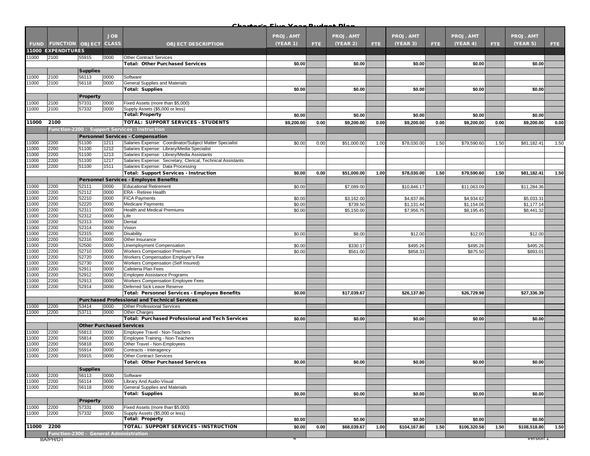|                |                                        |                                 |              |                                                                                                       | بملتا بهمه اسمعان والمستا |      |                  |      |              |      |                  |      |                  |      |
|----------------|----------------------------------------|---------------------------------|--------------|-------------------------------------------------------------------------------------------------------|---------------------------|------|------------------|------|--------------|------|------------------|------|------------------|------|
|                |                                        |                                 | <b>JOB</b>   |                                                                                                       | <b>PROJ. AMT</b>          |      | <b>PROJ. AMT</b> |      | PROJ. AMT    |      | <b>PROJ. AMT</b> |      | PROJ. AMT        |      |
|                | <b>FUND FUNCTION OBJECT</b>            |                                 | <b>CLASS</b> | <b>OBJECT DESCRIPTION</b>                                                                             | <b>(YEAR 1)</b>           | FTE. | (YEAR 2)         | FTE: | (YEAR 3)     | FTE. | (YEAR 4)         | FTE. | (YEAR 5)         | FTE: |
|                | <b>11000 EXPENDITURES</b>              |                                 |              |                                                                                                       |                           |      |                  |      |              |      |                  |      |                  |      |
| 11000          | 2100                                   | 55915                           | 0000         | <b>Other Contract Services</b>                                                                        |                           |      |                  |      |              |      |                  |      |                  |      |
|                |                                        |                                 |              | <b>Total: Other Purchased Services</b>                                                                | \$0.00                    |      | \$0.00           |      | \$0.00       |      | \$0.00           |      | \$0.00           |      |
|                |                                        | <b>Supplies</b>                 |              |                                                                                                       |                           |      |                  |      |              |      |                  |      |                  |      |
| 11000          | 2100                                   | 56113                           | 0000         | Software                                                                                              |                           |      |                  |      |              |      |                  |      |                  |      |
| 11000          | 2100                                   | 56118                           | 0000         | General Supplies and Materials                                                                        |                           |      |                  |      |              |      |                  |      |                  |      |
|                |                                        |                                 |              | <b>Total: Supplies</b>                                                                                | \$0.00                    |      | \$0.00           |      | \$0.00       |      | \$0.00           |      | \$0.00           |      |
|                |                                        | <b>Property</b>                 |              |                                                                                                       |                           |      |                  |      |              |      |                  |      |                  |      |
| 11000          | 2100                                   | 57331                           | 0000         | Fixed Assets (more than \$5,000)                                                                      |                           |      |                  |      |              |      |                  |      |                  |      |
| 11000          | 2100                                   | 57332                           | 0000         | Supply Assets (\$5,000 or less)                                                                       |                           |      |                  |      |              |      |                  |      |                  |      |
|                |                                        |                                 |              | <b>Total: Property</b>                                                                                | \$0.00                    |      | \$0.00           |      | \$0.00       |      | \$0.00           |      | \$0.00           |      |
| 11000          | 2100                                   |                                 |              | TOTAL: SUPPORT SERVICES - STUDENTS                                                                    | \$9,200.00                | 0.00 | \$9,200.00       | 0.00 | \$9,200.00   | 0.00 | \$9,200.00       | 0.00 | \$9,200.00       | 0.00 |
|                |                                        |                                 |              | Function-2200 - Support Services - Instruction                                                        |                           |      |                  |      |              |      |                  |      |                  |      |
|                |                                        |                                 |              |                                                                                                       |                           |      |                  |      |              |      |                  |      |                  |      |
| 11000          |                                        |                                 |              | <b>Personnel Services - Compensation</b>                                                              |                           |      |                  |      |              |      |                  |      |                  |      |
| 11000          | 2200<br>2200                           | 51100<br>51100                  | 1211<br>1212 | Salaries Expense: Coordinator/Subject Matter Specialist<br>Salaries Expense: Library/Media Specialist | \$0.00                    | 0.00 | \$51,000.00      | 1.00 | \$78,030.00  | 1.50 | \$79,590.60      | 1.50 | \$81,182.41      | 1.50 |
| 11000          | 2200                                   | 51100                           | 1213         | Salaries Expense: Library/Media Assistants                                                            |                           |      |                  |      |              |      |                  |      |                  |      |
| 11000          | 2200                                   | 51100                           | 1217         | Salaries Expense: Secretary, Clerical, Technical Assistants                                           |                           |      |                  |      |              |      |                  |      |                  |      |
| 11000          | 2200                                   | 51100                           | 1511         | Salaries Expense: Data Processing                                                                     |                           |      |                  |      |              |      |                  |      |                  |      |
|                |                                        |                                 |              | <b>Total: Support Services - Instruction</b>                                                          | \$0.00                    | 0.00 | \$51,000.00      | 1.00 | \$78,030.00  | 1.50 | \$79,590.60      | 1.50 | \$81,182.41      | 1.50 |
|                |                                        |                                 |              | <b>Personnel Services - Employee Benefits</b>                                                         |                           |      |                  |      |              |      |                  |      |                  |      |
| 11000          | 2200                                   | 52111                           | 0000         | <b>Educational Retirement</b>                                                                         | \$0.00                    |      | \$7,089.00       |      | \$10,846.17  |      | \$11,063.09      |      | \$11,284.36      |      |
| 11000          | 2200                                   | 52112                           | 0000         | ERA - Retiree Health                                                                                  |                           |      |                  |      |              |      |                  |      |                  |      |
| 11000          | 2200                                   | 52210                           | 0000         | <b>FICA Payments</b>                                                                                  | \$0.00                    |      | \$3,162.00       |      | \$4,837.86   |      | \$4,934.62       |      | \$5,033.31       |      |
| 11000          | 2200                                   | 52220                           | 0000         | <b>Medicare Payments</b>                                                                              | \$0.00                    |      | \$739.50         |      | \$1,131.44   |      | \$1,154.06       |      | \$1,177.14       |      |
| 11000          | 2200                                   | 52311                           | 0000         | Health and Medical Premiums                                                                           | \$0.00                    |      | \$5,150.00       |      | \$7,956.75   |      | \$8,195.45       |      | \$8,441.32       |      |
| 11000          | 2200                                   | 52312                           | 0000         | Life                                                                                                  |                           |      |                  |      |              |      |                  |      |                  |      |
| 11000          | 2200                                   | 52313                           | 0000         | Dental                                                                                                |                           |      |                  |      |              |      |                  |      |                  |      |
| 11000          | 2200                                   | 52314                           | 0000         | Vision                                                                                                |                           |      |                  |      |              |      |                  |      |                  |      |
| 11000          | 2200                                   | 52315                           | 0000         | Disability                                                                                            | \$0.00                    |      | \$8.00           |      | \$12.00      |      | \$12.00          |      | \$12.00          |      |
| 11000          | 2200                                   | 52316                           | 0000         | Other Insurance                                                                                       |                           |      |                  |      |              |      |                  |      |                  |      |
| 11000<br>11000 | 2200                                   | 52500                           | 0000         | Unemployment Compensation                                                                             | \$0.00                    |      | \$330.17         |      | \$495.26     |      | \$495.26         |      | \$495.26         |      |
| 11000          | 2200<br>2200                           | 52710<br>52720                  | 0000<br>0000 | Workers Compensation Premium<br>Workers Compensation Employer's Fee                                   | \$0.00                    |      | \$561.00         |      | \$858.33     |      | \$875.50         |      | \$893.01         |      |
| 11000          | 2200                                   | 52730                           | 0000         | Workers Compensation (Self Insured)                                                                   |                           |      |                  |      |              |      |                  |      |                  |      |
| 11000          | 2200                                   | 52911                           | 0000         | Cafeteria Plan Fees                                                                                   |                           |      |                  |      |              |      |                  |      |                  |      |
| 11000          | 2200                                   | 52912                           | 0000         | Employee Assistance Programs                                                                          |                           |      |                  |      |              |      |                  |      |                  |      |
| 11000          | 2200                                   | 52913                           | 0000         | Workers Compensation Employee Fees                                                                    |                           |      |                  |      |              |      |                  |      |                  |      |
| 11000          | 2200                                   | 52914                           | 0000         | Deferred Sick Leave Reserve                                                                           |                           |      |                  |      |              |      |                  |      |                  |      |
|                |                                        |                                 |              | <b>Total: Personnel Services - Employee Benefits</b>                                                  | \$0.00                    |      | \$17,039.67      |      | \$26,137.80  |      | \$26,729.98      |      | \$27,336.39      |      |
|                |                                        |                                 |              | <b>Purchased Professional and Technical Services</b>                                                  |                           |      |                  |      |              |      |                  |      |                  |      |
| 11000          | 2200                                   | 53414                           | 0000         | <b>Other Professional Services</b>                                                                    |                           |      |                  |      |              |      |                  |      |                  |      |
| 11000          | 2200                                   | 53711                           | 0000         | <b>Other Charges</b>                                                                                  |                           |      |                  |      |              |      |                  |      |                  |      |
|                |                                        |                                 |              | <b>Total: Purchased Professional and Tech Services</b>                                                | \$0.00                    |      | \$0.00           |      | \$0.00       |      | \$0.00           |      | \$0.00           |      |
|                |                                        | <b>Other Purchased Services</b> |              |                                                                                                       |                           |      |                  |      |              |      |                  |      |                  |      |
| 11000          | 2200                                   | 55813                           | 0000         | Employee Travel - Non-Teachers                                                                        |                           |      |                  |      |              |      |                  |      |                  |      |
| 11000          | 2200                                   | 55814                           | 0000         | Employee Training - Non-Teachers                                                                      |                           |      |                  |      |              |      |                  |      |                  |      |
| 11000          | 2200                                   | 55818                           | 0000         | Other Travel - Non-Employees                                                                          |                           |      |                  |      |              |      |                  |      |                  |      |
| 11000          | 2200                                   | 55914                           | 0000         | Contracts - Interagency                                                                               |                           |      |                  |      |              |      |                  |      |                  |      |
| 11000          | 2200                                   | 55915                           | 0000         | <b>Other Contract Services</b>                                                                        |                           |      |                  |      |              |      |                  |      |                  |      |
|                |                                        |                                 |              | <b>Total: Other Purchased Services</b>                                                                | \$0.00                    |      | \$0.00           |      | \$0.00       |      | \$0.00           |      | \$0.00           |      |
|                |                                        | <b>Supplies</b>                 |              |                                                                                                       |                           |      |                  |      |              |      |                  |      |                  |      |
| 11000          | 2200                                   | 56113                           | 0000         | Software                                                                                              |                           |      |                  |      |              |      |                  |      |                  |      |
| 11000          | 2200                                   | 56114                           | 0000         | Library And Audio-Visual                                                                              |                           |      |                  |      |              |      |                  |      |                  |      |
| 11000          | 2200                                   | 56118                           | 0000         | <b>General Supplies and Materials</b>                                                                 |                           |      |                  |      |              |      |                  |      |                  |      |
|                |                                        |                                 |              | <b>Total: Supplies</b>                                                                                | \$0.00                    |      | \$0.00           |      | \$0.00       |      | \$0.00           |      | \$0.00           |      |
|                |                                        | <b>Property</b>                 |              |                                                                                                       |                           |      |                  |      |              |      |                  |      |                  |      |
| 11000          | 2200                                   | 57331                           | 0000         | Fixed Assets (more than \$5,000)                                                                      |                           |      |                  |      |              |      |                  |      |                  |      |
| 11000          | 2200                                   | 57332                           | 0000         | Supply Assets (\$5,000 or less)                                                                       |                           |      |                  |      |              |      |                  |      |                  |      |
|                |                                        |                                 |              | <b>Total: Property</b>                                                                                | \$0.00                    |      | \$0.00           |      | \$0.00       |      | \$0.00           |      | \$0.00           |      |
| 11000          | 2200                                   |                                 |              | TOTAL: SUPPORT SERVICES - INSTRUCTION                                                                 | \$0.00                    | 0.00 | \$68,039.67      | 1.00 | \$104,167.80 | 1.50 | \$106,320.58     | 1.50 | \$108,518.80     | 1.50 |
|                | Function-2300 - General Administration |                                 |              |                                                                                                       |                           |      |                  |      |              |      |                  |      |                  |      |
|                | BA/PH/DT                               |                                 |              |                                                                                                       |                           |      |                  |      |              |      |                  |      | <u>version T</u> |      |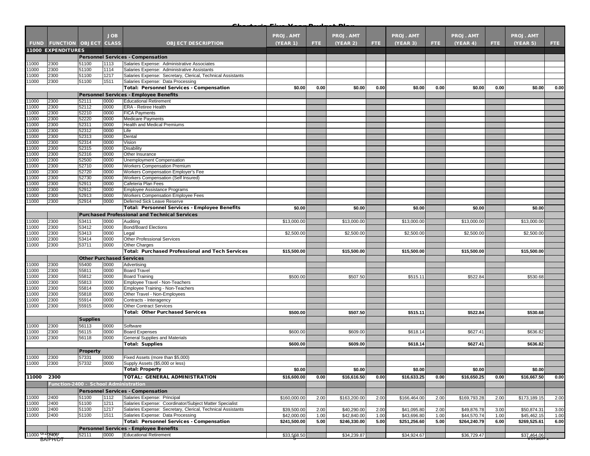|                                       |                                       |                                 | <b>JOB</b>   |                                                             | <b>PROJ. AMT</b> |      | <b>PROJ. AMT</b> |      | <b>PROJ. AMT</b> |      | <b>PROJ. AMT</b> |      | <b>PROJ. AMT</b> |      |
|---------------------------------------|---------------------------------------|---------------------------------|--------------|-------------------------------------------------------------|------------------|------|------------------|------|------------------|------|------------------|------|------------------|------|
|                                       | <b>FUND FUNCTION OBJECT CLASS</b>     |                                 |              | <b>OBJECT DESCRIPTION</b>                                   | <b>(YEAR 1)</b>  | FTE. | (YEAR 2)         | FTE. | (YEAR 3)         | FTE. | (YEAR 4)         | FTE. | (YEAR 5)         | FTE: |
|                                       | 11000 EXPENDITURES                    |                                 |              |                                                             |                  |      |                  |      |                  |      |                  |      |                  |      |
|                                       |                                       |                                 |              | <b>Personnel Services - Compensation</b>                    |                  |      |                  |      |                  |      |                  |      |                  |      |
| 11000                                 | 2300                                  | 51100                           | 1113         | Salaries Expense: Administrative Associates                 |                  |      |                  |      |                  |      |                  |      |                  |      |
| 11000                                 | 2300                                  | 51100                           | 1114         | Salaries Expense: Administrative Assistants                 |                  |      |                  |      |                  |      |                  |      |                  |      |
| 11000                                 | 2300                                  | 51100                           | 1217         | Salaries Expense: Secretary, Clerical, Technical Assistants |                  |      |                  |      |                  |      |                  |      |                  |      |
| 11000                                 | 2300                                  | 51100                           | 1511         | Salaries Expense: Data Processing                           |                  |      |                  |      |                  |      |                  |      |                  |      |
|                                       |                                       |                                 |              | <b>Total: Personnel Services - Compensation</b>             | \$0.00           | 0.00 | \$0.00           | 0.00 | \$0.00           | 0.00 | \$0.00           | 0.00 | \$0.00           | 0.00 |
|                                       |                                       |                                 |              | <b>Personnel Services - Employee Benefits</b>               |                  |      |                  |      |                  |      |                  |      |                  |      |
| 11000                                 | 2300                                  | 52111                           | 0000         | <b>Educational Retirement</b>                               |                  |      |                  |      |                  |      |                  |      |                  |      |
| 11000                                 | 2300                                  | 52112                           | 0000<br>0000 | <b>ERA - Retiree Health</b><br><b>FICA Payments</b>         |                  |      |                  |      |                  |      |                  |      |                  |      |
| 11000<br>11000                        | 2300<br>2300                          | 52210<br>52220                  | 0000         | <b>Medicare Payments</b>                                    |                  |      |                  |      |                  |      |                  |      |                  |      |
| 11000                                 | 2300                                  | 52311                           | 0000         | Health and Medical Premiums                                 |                  |      |                  |      |                  |      |                  |      |                  |      |
| 11000                                 | 2300                                  | 52312                           | 0000         | Life                                                        |                  |      |                  |      |                  |      |                  |      |                  |      |
| 11000                                 | 2300                                  | 52313                           | 0000         | Dental                                                      |                  |      |                  |      |                  |      |                  |      |                  |      |
| 11000                                 | 2300                                  | 52314                           | 0000         | Vision                                                      |                  |      |                  |      |                  |      |                  |      |                  |      |
| 11000                                 | 2300                                  | 52315                           | 0000         | Disability                                                  |                  |      |                  |      |                  |      |                  |      |                  |      |
| 11000                                 | 2300                                  | 52316                           | 0000         | Other Insurance                                             |                  |      |                  |      |                  |      |                  |      |                  |      |
| 11000                                 | 2300                                  | 52500                           | 0000         | Unemployment Compensation                                   |                  |      |                  |      |                  |      |                  |      |                  |      |
| 11000                                 | 2300                                  | 52710                           | 0000         | Workers Compensation Premium                                |                  |      |                  |      |                  |      |                  |      |                  |      |
| 11000                                 | 2300                                  | 52720                           | 0000         | Workers Compensation Employer's Fee                         |                  |      |                  |      |                  |      |                  |      |                  |      |
| 11000<br>11000                        | 2300<br>2300                          | 52730<br>52911                  | 0000<br>0000 | Workers Compensation (Self Insured)<br>Cafeteria Plan Fees  |                  |      |                  |      |                  |      |                  |      |                  |      |
| 11000                                 | 2300                                  | 52912                           | 0000         | Employee Assistance Programs                                |                  |      |                  |      |                  |      |                  |      |                  |      |
| 11000                                 | 2300                                  | 52913                           | 0000         | <b>Workers Compensation Employee Fees</b>                   |                  |      |                  |      |                  |      |                  |      |                  |      |
| 11000                                 | 2300                                  | 52914                           | 0000         | Deferred Sick Leave Reserve                                 |                  |      |                  |      |                  |      |                  |      |                  |      |
|                                       |                                       |                                 |              | Total: Personnel Services - Employee Benefits               | \$0.00           |      | \$0.00           |      | \$0.00           |      | \$0.00           |      | \$0.00           |      |
|                                       |                                       |                                 |              | <b>Purchased Professional and Technical Services</b>        |                  |      |                  |      |                  |      |                  |      |                  |      |
| 11000                                 | 2300                                  | 53411                           | 0000         | Auditing                                                    | \$13,000.00      |      | \$13,000.00      |      | \$13,000.00      |      | \$13,000.00      |      | \$13,000.00      |      |
| 11000                                 | 2300                                  | 53412                           | 0000         | <b>Bond/Board Elections</b>                                 |                  |      |                  |      |                  |      |                  |      |                  |      |
| 11000                                 | 2300                                  | 53413                           | 0000         | Legal                                                       | \$2,500.00       |      | \$2,500.00       |      | \$2,500.00       |      | \$2,500.00       |      | \$2,500.00       |      |
| 11000                                 | 2300                                  | 53414                           | 0000         | <b>Other Professional Services</b>                          |                  |      |                  |      |                  |      |                  |      |                  |      |
| 11000                                 | 2300                                  | 53711                           | 0000         | <b>Other Charges</b>                                        |                  |      |                  |      |                  |      |                  |      |                  |      |
|                                       |                                       |                                 |              | <b>Total: Purchased Professional and Tech Services</b>      | \$15,500.00      |      | \$15,500.00      |      | \$15,500.00      |      | \$15,500.00      |      | \$15,500.00      |      |
|                                       |                                       | <b>Other Purchased Services</b> |              |                                                             |                  |      |                  |      |                  |      |                  |      |                  |      |
| 11000                                 | 2300                                  | 55400                           | 0000         | Advertising                                                 |                  |      |                  |      |                  |      |                  |      |                  |      |
| 11000                                 | 2300                                  | 55811                           | 0000         | <b>Board Travel</b>                                         |                  |      |                  |      |                  |      |                  |      |                  |      |
| 11000<br>11000                        | 2300<br>2300                          | 55812<br>55813                  | 0000<br>0000 | <b>Board Training</b><br>Employee Travel - Non-Teachers     | \$500.00         |      | \$507.50         |      | \$515.11         |      | \$522.84         |      | \$530.68         |      |
| 11000                                 | 2300                                  | 55814                           | 0000         | Employee Training - Non-Teachers                            |                  |      |                  |      |                  |      |                  |      |                  |      |
| 11000                                 | 2300                                  | 55818                           | 0000         | Other Travel - Non-Employees                                |                  |      |                  |      |                  |      |                  |      |                  |      |
| 11000                                 | 2300                                  | 55914                           | 0000         | Contracts - Interagency                                     |                  |      |                  |      |                  |      |                  |      |                  |      |
| 11000                                 | 2300                                  | 55915                           | 0000         | <b>Other Contract Services</b>                              |                  |      |                  |      |                  |      |                  |      |                  |      |
|                                       |                                       |                                 |              | <b>Total: Other Purchased Services</b>                      | \$500.00         |      | \$507.50         |      | \$515.11         |      | \$522.84         |      | \$530.68         |      |
|                                       |                                       | <b>Supplies</b>                 |              |                                                             |                  |      |                  |      |                  |      |                  |      |                  |      |
| 11000                                 | 2300                                  | 56113                           | 0000         | Software                                                    |                  |      |                  |      |                  |      |                  |      |                  |      |
| 11000                                 | 2300                                  | 56115                           | 0000         | <b>Board Expenses</b>                                       | \$600.00         |      | \$609.00         |      | \$618.14         |      | \$627.41         |      | \$636.82         |      |
| 11000                                 | 2300                                  | 56118                           | 0000         | General Supplies and Materials                              |                  |      |                  |      |                  |      |                  |      |                  |      |
|                                       |                                       |                                 |              | <b>Total: Supplies</b>                                      | \$600.00         |      | \$609.00         |      | \$618.14         |      | \$627.41         |      | \$636.82         |      |
|                                       |                                       | <b>Property</b>                 |              |                                                             |                  |      |                  |      |                  |      |                  |      |                  |      |
| 11000                                 | 2300                                  | 57331                           | 0000         | Fixed Assets (more than \$5,000)                            |                  |      |                  |      |                  |      |                  |      |                  |      |
| 11000                                 | 2300                                  | 57332                           | 0000         | Supply Assets (\$5,000 or less)                             |                  |      |                  |      |                  |      |                  |      |                  |      |
|                                       |                                       |                                 |              | <b>Total: Property</b>                                      | \$0.00           |      | \$0.00           |      | \$0.00           |      | \$0.00           |      | \$0.00           |      |
| 11000                                 | 2300                                  |                                 |              | TOTAL: GENERAL ADMINISTRATION                               | \$16,600.00      | 0.00 | \$16,616.50      | 0.00 | \$16,633.25      | 0.00 | \$16,650.25      | 0.00 | \$16,667.50      | 0.00 |
|                                       | Function-2400 - School Administration |                                 |              |                                                             |                  |      |                  |      |                  |      |                  |      |                  |      |
|                                       |                                       |                                 |              | <b>Personnel Services - Compensation</b>                    |                  |      |                  |      |                  |      |                  |      |                  |      |
| 11000                                 | 2400                                  | 51100                           | 1112         | Salaries Expense: Principal                                 | \$160,000.00     | 2.00 | \$163,200.00     | 2.00 | \$166,464.00     | 2.00 | \$169,793.28     | 2.00 | \$173,189.15     | 2.00 |
| 11000                                 | 2400                                  | 51100                           | 1211         | Salaries Expense: Coordinator/Subject Matter Specialist     |                  |      |                  |      |                  |      |                  |      |                  |      |
| 11000                                 | 2400                                  | 51100                           | 1217         | Salaries Expense: Secretary, Clerical, Technical Assistants | \$39,500.00      | 2.00 | \$40,290.00      | 2.00 | \$41,095.80      | 2.00 | \$49,876.78      | 3.00 | \$50,874.31      | 3.00 |
| 11000                                 | 2400                                  | 51100                           | 1511         | Salaries Expense: Data Processing                           | \$42,000.00      | 1.00 | \$42,840.00      | 1.00 | \$43,696.80      | 1.00 | \$44,570.74      | 1.00 | \$45,462.15      | 1.00 |
|                                       |                                       |                                 |              | <b>Total: Personnel Services - Compensation</b>             | \$241,500.00     | 5.00 | \$246,330.00     | 5.00 | \$251,256.60     | 5.00 | \$264,240.79     | 6.00 | \$269,525.61     | 6.00 |
|                                       |                                       |                                 |              | <b>Personnel Services - Employee Benefits</b>               |                  |      |                  |      |                  |      |                  |      |                  |      |
| 11000 <sup>0/2</sup> 2400<br>BA/PH/DT |                                       | 52111                           | 0000         | <b>Educational Retirement</b>                               | \$33,568.50      |      | \$34,239.87      |      | \$34,924.67      |      | \$36,729.47      |      | \$37,464,06      |      |
|                                       |                                       |                                 |              |                                                             |                  |      |                  |      |                  |      |                  |      |                  |      |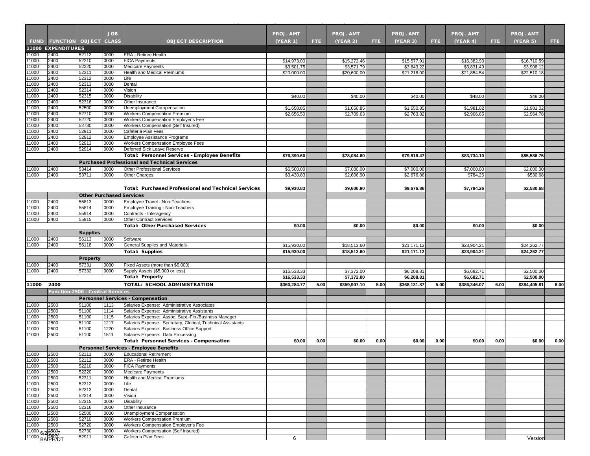|                |                                         |                                 | <b>JOB</b>   |                                                                                                          | <b>PROJ. AMT</b>          |      | <b>PROJ. AMT</b>          |      | <b>PROJ. AMT</b>          |      | <b>PROJ. AMT</b>          |      | <b>PROJ. AMT</b>          |      |
|----------------|-----------------------------------------|---------------------------------|--------------|----------------------------------------------------------------------------------------------------------|---------------------------|------|---------------------------|------|---------------------------|------|---------------------------|------|---------------------------|------|
|                | <b>FUND FUNCTION OBJECT CLASS</b>       |                                 |              | <b>OBJECT DESCRIPTION</b>                                                                                | <b>(YEAR 1)</b>           | FTE. | (YEAR 2)                  | FTE. | (YEAR 3)                  | FTE: | (YEAR 4)                  | FTE. | (YEAR 5)                  | FTE: |
|                | <b>11000 EXPENDITURES</b>               |                                 |              |                                                                                                          |                           |      |                           |      |                           |      |                           |      |                           |      |
| 1000           | 2400                                    | 52112                           | 0000         | <b>ERA - Retiree Health</b>                                                                              |                           |      |                           |      |                           |      |                           |      |                           |      |
| 1000<br>1000   | 2400<br>2400                            | 52210<br>52220                  | 0000<br>0000 | <b>FICA Payments</b><br>Medicare Payments                                                                | \$14,973.00<br>\$3,501.75 |      | \$15,272.46<br>\$3,571.79 |      | \$15,577.91<br>\$3,643.22 |      | \$16,382.93<br>\$3,831.49 |      | \$16,710.59<br>\$3,908.12 |      |
| 1000           | 2400                                    | 52311                           | 0000         | <b>Health and Medical Premiums</b>                                                                       | \$20,000.00               |      | \$20,600.00               |      | \$21,218.00               |      | \$21.854.54               |      | \$22,510.18               |      |
| 11000          | 2400                                    | 52312                           | 0000         | Life                                                                                                     |                           |      |                           |      |                           |      |                           |      |                           |      |
| 1000           | 2400                                    | 52313                           | 0000         | Dental                                                                                                   |                           |      |                           |      |                           |      |                           |      |                           |      |
| 1000           | 2400                                    | 52314                           | 0000         | Vision                                                                                                   |                           |      |                           |      |                           |      |                           |      |                           |      |
| 1000           | 2400                                    | 52315                           | 0000         | Disability                                                                                               | \$40.00                   |      | \$40.00                   |      | \$40.00                   |      | \$48.00                   |      | \$48.00                   |      |
| 1000           | 2400                                    | 52316                           | 0000         | Other Insurance                                                                                          |                           |      |                           |      |                           |      |                           |      |                           |      |
| 1000           | 2400                                    | 52500                           | 0000         | Unemployment Compensation                                                                                | \$1,650.85                |      | \$1,650.85                |      | \$1,650.85                |      | \$1,981.02                |      | \$1,981.02                |      |
| 11000          | 2400                                    | 52710                           | 0000         | <b>Workers Compensation Premium</b>                                                                      | \$2,656.50                |      | \$2,709.63                |      | \$2,763.82                |      | \$2,906.65                |      | \$2,964.78                |      |
| 11000<br>1000  | 2400<br>2400                            | 52720<br>52730                  | 0000<br>0000 | Workers Compensation Employer's Fee<br>Workers Compensation (Self Insured)                               |                           |      |                           |      |                           |      |                           |      |                           |      |
| 11000          | 2400                                    | 52911                           | 0000         | Cafeteria Plan Fees                                                                                      |                           |      |                           |      |                           |      |                           |      |                           |      |
| 1000           | 2400                                    | 52912                           | 0000         | <b>Employee Assistance Programs</b>                                                                      |                           |      |                           |      |                           |      |                           |      |                           |      |
| 11000          | 2400                                    | 52913                           | 0000         | Workers Compensation Employee Fees                                                                       |                           |      |                           |      |                           |      |                           |      |                           |      |
| 1000           | 2400                                    | 52914                           | 0000         | Deferred Sick Leave Reserve                                                                              |                           |      |                           |      |                           |      |                           |      |                           |      |
|                |                                         |                                 |              | Total: Personnel Services - Employee Benefits                                                            | \$76,390.60               |      | \$78,084.60               |      | \$79,818.47               |      | \$83,734.10               |      | \$85,586.75               |      |
|                |                                         |                                 |              | <b>Purchased Professional and Technical Services</b>                                                     |                           |      |                           |      |                           |      |                           |      |                           |      |
| 1000           | 2400                                    | 53414                           | 0000         | Other Professional Services                                                                              | \$6,500.00                |      | \$7,000.00                |      | \$7,000.00                |      | \$7,000.00                |      | \$2,000.00                |      |
| 1000           | 2400                                    | 53711                           | 0000         | Other Charges                                                                                            | \$3,430.83                |      | \$2,606.90                |      | \$2,676.86                |      | \$784.26                  |      | \$530.68                  |      |
|                |                                         |                                 |              |                                                                                                          |                           |      |                           |      |                           |      |                           |      |                           |      |
|                |                                         |                                 |              | <b>Total: Purchased Professional and Technical Services</b>                                              | \$9,930.83                |      | \$9,606.90                |      | \$9,676.86                |      | \$7,784.26                |      | \$2,530.68                |      |
|                |                                         | <b>Other Purchased Services</b> |              |                                                                                                          |                           |      |                           |      |                           |      |                           |      |                           |      |
| 1000           | 2400                                    | 55813                           | 0000         | Employee Travel - Non-Teachers                                                                           |                           |      |                           |      |                           |      |                           |      |                           |      |
| 11000          | 2400                                    | 55814                           | 0000         | Employee Training - Non-Teachers                                                                         |                           |      |                           |      |                           |      |                           |      |                           |      |
| 1000           | 2400                                    | 55914                           | 0000         | Contracts - Interagency                                                                                  |                           |      |                           |      |                           |      |                           |      |                           |      |
| 1000           | 2400                                    | 55915                           | 0000         | <b>Other Contract Services</b>                                                                           |                           |      |                           |      |                           |      |                           |      |                           |      |
|                |                                         |                                 |              | <b>Total: Other Purchased Services</b>                                                                   | \$0.00                    |      | \$0.00                    |      | \$0.00                    |      | \$0.00                    |      | \$0.00                    |      |
|                |                                         | <b>Supplies</b>                 |              |                                                                                                          |                           |      |                           |      |                           |      |                           |      |                           |      |
| 11000          | 2400                                    | 56113                           | 0000         | Software                                                                                                 |                           |      |                           |      |                           |      |                           |      |                           |      |
| 11000          | 2400                                    | 56118                           | 0000         | General Supplies and Materials                                                                           | \$15,930.00               |      | \$18,513.60               |      | \$21,171.12               |      | \$23,904.21               |      | \$24,262.77               |      |
|                |                                         |                                 |              | <b>Total: Supplies</b>                                                                                   | \$15,930.00               |      | \$18,513.60               |      | \$21,171.12               |      | \$23,904.21               |      | \$24,262.77               |      |
|                |                                         | <b>Property</b>                 |              |                                                                                                          |                           |      |                           |      |                           |      |                           |      |                           |      |
| 1000           | 2400                                    | 57331                           | 0000         | Fixed Assets (more than \$5,000)                                                                         |                           |      |                           |      |                           |      |                           |      |                           |      |
| 1000           | 2400                                    | 57332                           | 0000         | Supply Assets (\$5,000 or less)<br><b>Total: Property</b>                                                | \$16,533.33               |      | \$7,372.00                |      | \$6,208.81                |      | \$6,682.71                |      | \$2,500.00                |      |
|                |                                         |                                 |              |                                                                                                          | \$16,533.33               |      | \$7,372.00                |      | \$6,208.81                |      | \$6,682.71                |      | \$2,500.00                |      |
| 11000          | 2400                                    |                                 |              | TOTAL: SCHOOL ADMINISTRATION                                                                             | \$360,284.77              | 5.00 | \$359,907.10              | 5.00 | \$368,131.87              | 5.00 | \$386,346.07              | 6.00 | \$384,405.81              | 6.00 |
|                | <b>Function-2500 - Central Services</b> |                                 |              |                                                                                                          |                           |      |                           |      |                           |      |                           |      |                           |      |
|                |                                         |                                 |              | <b>Personnel Services - Compensation</b>                                                                 |                           |      |                           |      |                           |      |                           |      |                           |      |
| 1000           | 2500                                    | 51100                           | 1113         | Salaries Expense: Administrative Associates                                                              |                           |      |                           |      |                           |      |                           |      |                           |      |
| 1000           | 2500                                    | 51100                           | 1114         | Salaries Expense: Administrative Assistants                                                              |                           |      |                           |      |                           |      |                           |      |                           |      |
| 1000           | 2500                                    | 51100                           | 1115         | Salaries Expense: Assoc. Supt.-Fin./Business Manager                                                     |                           |      |                           |      |                           |      |                           |      |                           |      |
| 1000<br>11000  | 2500<br>2500                            | 51100<br>51100                  | 1217<br>1220 | Salaries Expense: Secretary, Clerical, Technical Assistants<br>Salaries Expense: Business Office Support |                           |      |                           |      |                           |      |                           |      |                           |      |
| 1000           | 2500                                    | 51100                           | 1511         | Salaries Expense: Data Processing                                                                        |                           |      |                           |      |                           |      |                           |      |                           |      |
|                |                                         |                                 |              | Total: Personnel Services - Compensation                                                                 | \$0.00                    | 0.00 | \$0.00                    | 0.00 | \$0.00                    | 0.00 | \$0.00                    | 0.00 | \$0.00                    | 0.00 |
|                |                                         |                                 |              | Personnel Services - Employee Benefits                                                                   |                           |      |                           |      |                           |      |                           |      |                           |      |
| 11000          | 2500                                    | 52111                           | 0000         | <b>Educational Retirement</b>                                                                            |                           |      |                           |      |                           |      |                           |      |                           |      |
| 11000          | 2500                                    | 52112                           | 0000         | <b>ERA - Retiree Health</b>                                                                              |                           |      |                           |      |                           |      |                           |      |                           |      |
| 11000          | 2500                                    | 52210                           | 0000         | <b>FICA Payments</b>                                                                                     |                           |      |                           |      |                           |      |                           |      |                           |      |
| 11000          | 2500                                    | 52220                           | 0000         | <b>Medicare Payments</b>                                                                                 |                           |      |                           |      |                           |      |                           |      |                           |      |
| 11000          | 2500                                    | 52311                           | 0000         | Health and Medical Premiums                                                                              |                           |      |                           |      |                           |      |                           |      |                           |      |
| 11000          | 2500                                    | 52312                           | 0000         | Life                                                                                                     |                           |      |                           |      |                           |      |                           |      |                           |      |
| 11000          | 2500                                    | 52313                           | 0000         | Dental                                                                                                   |                           |      |                           |      |                           |      |                           |      |                           |      |
| 11000          | 2500                                    | 52314                           | 0000         | Vision                                                                                                   |                           |      |                           |      |                           |      |                           |      |                           |      |
| 11000          | 2500                                    | 52315                           | 0000         | <b>Disability</b>                                                                                        |                           |      |                           |      |                           |      |                           |      |                           |      |
| 11000<br>11000 | 2500<br>2500                            | 52316<br>52500                  | 0000<br>0000 | Other Insurance                                                                                          |                           |      |                           |      |                           |      |                           |      |                           |      |
| 11000          | 2500                                    | 52710                           | 0000         | Unemployment Compensation<br>Workers Compensation Premium                                                |                           |      |                           |      |                           |      |                           |      |                           |      |
| 11000          | 2500                                    | 52720                           | 0000         | Workers Compensation Employer's Fee                                                                      |                           |      |                           |      |                           |      |                           |      |                           |      |
| 11000 6/25PP7  |                                         | 52730                           | 0000         | Workers Compensation (Self Insured)                                                                      |                           |      |                           |      |                           |      |                           |      |                           |      |
| 11000 BA 3990T |                                         | 52911                           | 0000         | Cafeteria Plan Fees                                                                                      | 6                         |      |                           |      |                           |      |                           |      | Version                   |      |
|                |                                         |                                 |              |                                                                                                          |                           |      |                           |      |                           |      |                           |      |                           |      |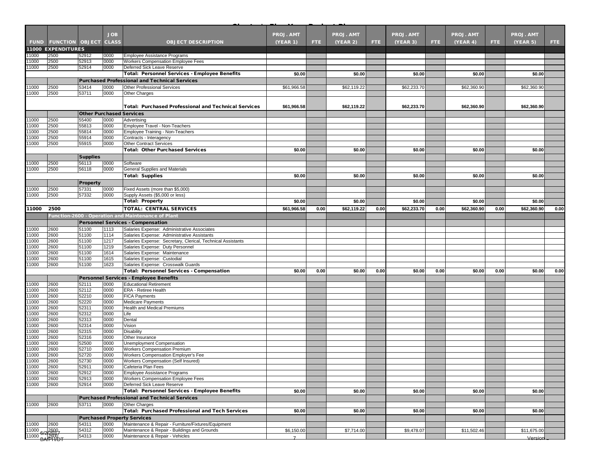|                |                                   |                                 | <b>JOB</b>   |                                                                          | <b>PROJ. AMT</b> |      | <b>PROJ. AMT</b> |      | <b>PROJ. AMT</b> |      | <b>PROJ. AMT</b> |      | <b>PROJ. AMT</b> |      |
|----------------|-----------------------------------|---------------------------------|--------------|--------------------------------------------------------------------------|------------------|------|------------------|------|------------------|------|------------------|------|------------------|------|
|                | <b>FUND FUNCTION OBJECT CLASS</b> |                                 |              | <b>OBJECT DESCRIPTION</b>                                                | (YEAR 1)         | FTE. | (YEAR 2)         | FTE. | (YEAR 3)         | FTE. | (YEAR 4)         | FTE. | (YEAR 5)         | FTE: |
|                | 11000 EXPENDITURES                |                                 |              |                                                                          |                  |      |                  |      |                  |      |                  |      |                  |      |
| 1000           | 2500                              | 52912                           | 0000         | <b>Employee Assistance Programs</b>                                      |                  |      |                  |      |                  |      |                  |      |                  |      |
| 1000<br>11000  | 2500<br>2500                      | 52913<br>52914                  | 0000<br>0000 | Workers Compensation Employee Fees<br>Deferred Sick Leave Reserve        |                  |      |                  |      |                  |      |                  |      |                  |      |
|                |                                   |                                 |              | Total: Personnel Services - Employee Benefits                            | \$0.00           |      | \$0.00           |      | \$0.00           |      | \$0.00           |      | \$0.00           |      |
|                |                                   |                                 |              | <b>Purchased Professional and Technical Services</b>                     |                  |      |                  |      |                  |      |                  |      |                  |      |
| 11000          | 2500                              | 53414                           | 0000         | <b>Other Professional Services</b>                                       | \$61,966.58      |      | \$62,119.22      |      | \$62,233.70      |      | \$62,360.90      |      | \$62,360.90      |      |
| 1000           | 2500                              | 53711                           | 0000         | Other Charges                                                            |                  |      |                  |      |                  |      |                  |      |                  |      |
|                |                                   |                                 |              |                                                                          |                  |      |                  |      |                  |      |                  |      |                  |      |
|                |                                   |                                 |              | <b>Total: Purchased Professional and Technical Services</b>              | \$61,966.58      |      | \$62,119.22      |      | \$62,233.70      |      | \$62,360.90      |      | \$62,360.90      |      |
|                |                                   | <b>Other Purchased Services</b> |              |                                                                          |                  |      |                  |      |                  |      |                  |      |                  |      |
| 11000          | 2500                              | 55400                           | 0000         | Advertising                                                              |                  |      |                  |      |                  |      |                  |      |                  |      |
| 11000          | 2500                              | 55813                           | 0000         | Employee Travel - Non-Teachers                                           |                  |      |                  |      |                  |      |                  |      |                  |      |
| 11000          | 2500                              | 55814                           | 0000         | Employee Training - Non-Teachers                                         |                  |      |                  |      |                  |      |                  |      |                  |      |
| 1000           | 2500                              | 55914                           | 0000         | Contracts - Interagency                                                  |                  |      |                  |      |                  |      |                  |      |                  |      |
| 11000          | 2500                              | 55915                           | 0000         | <b>Other Contract Services</b><br><b>Total: Other Purchased Services</b> | \$0.00           |      | \$0.00           |      | \$0.00           |      | \$0.00           |      | \$0.00           |      |
|                |                                   |                                 |              |                                                                          |                  |      |                  |      |                  |      |                  |      |                  |      |
|                |                                   | <b>Supplies</b>                 |              |                                                                          |                  |      |                  |      |                  |      |                  |      |                  |      |
| 11000<br>11000 | 2500<br>2500                      | 56113<br>56118                  | 0000<br>0000 | Software<br>General Supplies and Materials                               |                  |      |                  |      |                  |      |                  |      |                  |      |
|                |                                   |                                 |              | <b>Total: Supplies</b>                                                   | \$0.00           |      | \$0.00           |      | \$0.00           |      | \$0.00           |      | \$0.00           |      |
|                |                                   | <b>Property</b>                 |              |                                                                          |                  |      |                  |      |                  |      |                  |      |                  |      |
| 1000           | 2500                              | 57331                           | 0000         | Fixed Assets (more than \$5,000)                                         |                  |      |                  |      |                  |      |                  |      |                  |      |
| 1000           | 2500                              | 57332                           | 0000         | Supply Assets (\$5,000 or less)                                          |                  |      |                  |      |                  |      |                  |      |                  |      |
|                |                                   |                                 |              | <b>Total: Property</b>                                                   | \$0.00           |      | \$0.00           |      | \$0.00           |      | \$0.00           |      | \$0.00           |      |
| 11000          | 2500                              |                                 |              | <b>TOTAL: CENTRAL SERVICES</b>                                           | \$61,966.58      | 0.00 | \$62,119.22      | 0.00 | \$62,233.70      | 0.00 | \$62,360.90      | 0.00 | \$62,360.90      | 0.00 |
|                |                                   |                                 |              | Function-2600 - Operation and Maintenance of Plant                       |                  |      |                  |      |                  |      |                  |      |                  |      |
|                |                                   |                                 |              | <b>Personnel Services - Compensation</b>                                 |                  |      |                  |      |                  |      |                  |      |                  |      |
| 11000          | 2600                              | 51100                           | 1113         | Salaries Expense: Administrative Associates                              |                  |      |                  |      |                  |      |                  |      |                  |      |
| 11000          | 2600                              | 51100                           | 1114         | Salaries Expense: Administrative Assistants                              |                  |      |                  |      |                  |      |                  |      |                  |      |
| 11000          | 2600                              | 51100                           | 1217         | Salaries Expense: Secretary, Clerical, Technical Assistants              |                  |      |                  |      |                  |      |                  |      |                  |      |
| 11000          | 2600                              | 51100                           | 1219         | Salaries Expense: Duty Personnel                                         |                  |      |                  |      |                  |      |                  |      |                  |      |
| 11000<br>1000  | 2600<br>2600                      | 51100<br>51100                  | 1614<br>1615 | Salaries Expense: Maintenance<br>Salaries Expense: Custodial             |                  |      |                  |      |                  |      |                  |      |                  |      |
| 1000           | 2600                              | 51100                           | 1623         | Salaries Expense: Crosswalk Guards                                       |                  |      |                  |      |                  |      |                  |      |                  |      |
|                |                                   |                                 |              | <b>Total: Personnel Services - Compensation</b>                          | \$0.00           | 0.00 | \$0.00           | 0.00 | \$0.00           | 0.00 | \$0.00           | 0.00 | \$0.00           | 0.00 |
|                |                                   |                                 |              | Personnel Services - Employee Benefits                                   |                  |      |                  |      |                  |      |                  |      |                  |      |
| 1000           | 2600                              | 52111                           | 0000         | <b>Educational Retirement</b>                                            |                  |      |                  |      |                  |      |                  |      |                  |      |
| 11000          | 2600                              | 52112                           | 0000         | ERA - Retiree Health                                                     |                  |      |                  |      |                  |      |                  |      |                  |      |
| 1000           | 2600                              | 52210                           | 0000         | <b>FICA Payments</b>                                                     |                  |      |                  |      |                  |      |                  |      |                  |      |
| 11000          | 2600                              | 52220                           | 0000         | <b>Medicare Payments</b>                                                 |                  |      |                  |      |                  |      |                  |      |                  |      |
| 11000          | 2600                              | 52311                           | 0000         | Health and Medical Premiums                                              |                  |      |                  |      |                  |      |                  |      |                  |      |
| 1000<br>11000  | 2600<br>2600                      | 52312<br>52313                  | 0000<br>0000 | Life<br>Dental                                                           |                  |      |                  |      |                  |      |                  |      |                  |      |
| 11000          | 2600                              | 52314                           | 0000         | Vision                                                                   |                  |      |                  |      |                  |      |                  |      |                  |      |
| 1000           | 2600                              | 52315                           | 0000         | <b>Disability</b>                                                        |                  |      |                  |      |                  |      |                  |      |                  |      |
| 11000          | 2600                              | 52316                           | 0000         | Other Insurance                                                          |                  |      |                  |      |                  |      |                  |      |                  |      |
| 1000           | 2600                              | 52500                           | 0000         | Unemployment Compensation                                                |                  |      |                  |      |                  |      |                  |      |                  |      |
| 1000           | 2600                              | 52710                           | 0000         | <b>Workers Compensation Premium</b>                                      |                  |      |                  |      |                  |      |                  |      |                  |      |
| 11000          | 2600                              | 52720                           | 0000         | Workers Compensation Employer's Fee                                      |                  |      |                  |      |                  |      |                  |      |                  |      |
| 11000<br>11000 | 2600<br>2600                      | 52730<br>52911                  | 0000<br>0000 | Workers Compensation (Self Insured)<br>Cafeteria Plan Fees               |                  |      |                  |      |                  |      |                  |      |                  |      |
| 11000          | 2600                              | 52912                           | 0000         | Employee Assistance Programs                                             |                  |      |                  |      |                  |      |                  |      |                  |      |
| 11000          | 2600                              | 52913                           | 0000         | Workers Compensation Employee Fees                                       |                  |      |                  |      |                  |      |                  |      |                  |      |
| 11000          | 2600                              | 52914                           | 0000         | Deferred Sick Leave Reserve                                              |                  |      |                  |      |                  |      |                  |      |                  |      |
|                |                                   |                                 |              | Total: Personnel Services - Employee Benefits                            | \$0.00           |      | \$0.00           |      | \$0.00           |      | \$0.00           |      | \$0.00           |      |
|                |                                   |                                 |              | <b>Purchased Professional and Technical Services</b>                     |                  |      |                  |      |                  |      |                  |      |                  |      |
| 11000          | 2600                              | 53711                           | 0000         | Other Charges                                                            |                  |      |                  |      |                  |      |                  |      |                  |      |
|                |                                   |                                 |              | Total: Purchased Professional and Tech Services                          | \$0.00           |      | \$0.00           |      | \$0.00           |      | \$0.00           |      | \$0.00           |      |
|                |                                   |                                 |              | <b>Purchased Property Services</b>                                       |                  |      |                  |      |                  |      |                  |      |                  |      |
| 11000          | 2600                              | 54311                           | 0000         | Maintenance & Repair - Furniture/Fixtures/Equipment                      |                  |      |                  |      |                  |      |                  |      |                  |      |
| 11000          | 6/22002                           | 54312                           | 0000         | Maintenance & Repair - Buildings and Grounds                             | \$6,150.00       |      | \$7,714.00       |      | \$9,478.07       |      | \$11,502.46      |      | \$11,675.00      |      |
| 11000 BARHA    |                                   | 54313                           | 0000         | Maintenance & Repair - Vehicles                                          | $\overline{z}$   |      |                  |      |                  |      |                  |      | Version          |      |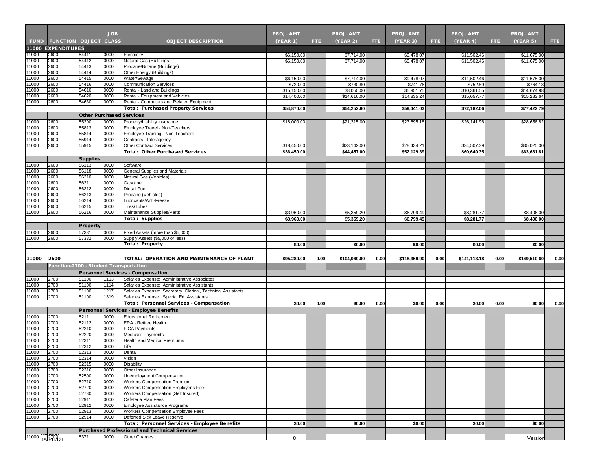|                |                                        |                                 | <b>JOB</b>   |                                                                           | <b>PROJ. AMT</b> |      | <b>PROJ. AMT</b> |      | <b>PROJ. AMT</b> |      | <b>PROJ. AMT</b> |      | <b>PROJ. AMT</b> |              |
|----------------|----------------------------------------|---------------------------------|--------------|---------------------------------------------------------------------------|------------------|------|------------------|------|------------------|------|------------------|------|------------------|--------------|
| <b>FUND</b>    | <b>FUNCTION OBJECT CLASS</b>           |                                 |              | <b>OBJECT DESCRIPTION</b>                                                 | <b>(YEAR 1)</b>  | FTE. | (YEAR 2)         | FTE: | (YEAR 3)         | FTE. | (YEAR 4)         | FTE. | (YEAR 5)         | FTE.         |
|                | <b>11000 EXPENDITURES</b>              |                                 |              |                                                                           |                  |      |                  |      |                  |      |                  |      |                  |              |
| 11000          | 2600                                   | 54411                           | 0000         | Electricity                                                               | \$6,150.00       |      | \$7,714.00       |      | \$9,478.07       |      | \$11,502.46      |      | \$11,675.00      |              |
| 11000          | 2600                                   | 54412                           | 0000         | Natural Gas (Buildings)                                                   | \$6,150.00       |      | \$7,714.00       |      | \$9,478.07       |      | \$11,502.46      |      | \$11,675.00      |              |
| 11000          | 2600                                   | 54413                           | 0000         | Propane/Butane (Buildings)                                                |                  |      |                  |      |                  |      |                  |      |                  |              |
| 11000          | 2600                                   | 54414                           | 0000         | Other Energy (Buildings)                                                  |                  |      |                  |      |                  |      |                  |      |                  |              |
| 11000          | 2600                                   | 54415                           | 0000         | Water/Sewage                                                              | \$6,150.00       |      | \$7,714.00       |      | \$9,478.07       |      | \$11,502.46      |      | \$11,675.00      |              |
| 11000          | 2600                                   | 54416                           | 0000         | <b>Communication Services</b>                                             | \$720.00         |      | \$730.80         |      | \$741.76         |      | \$752.89         |      | \$764.18         |              |
| 11000<br>11000 | 2600<br>2600                           | 54610<br>54620                  | 0000<br>0000 | Rental - Land and Buildings<br>Rental - Equipment and Vehicles            | \$15,150.00      |      | \$8,050.00       |      | \$5,951.75       |      | \$10,361.55      |      | \$14,674.98      |              |
| 11000          | 2600                                   | 54630                           | 0000         | Rental - Computers and Related Equipment                                  | \$14,400.00      |      | \$14,616.00      |      | \$14,835.24      |      | \$15,057.77      |      | \$15,283.64      |              |
|                |                                        |                                 |              | <b>Total: Purchased Property Services</b>                                 | \$54,870.00      |      | \$54,252.80      |      | \$59.441.03      |      | \$72,182.06      |      | \$77,422.79      |              |
|                |                                        | <b>Other Purchased Services</b> |              |                                                                           |                  |      |                  |      |                  |      |                  |      |                  |              |
| 11000          | 2600                                   | 55200                           | 0000         | Property/Liability Insurance                                              | \$18,000.00      |      | \$21,315.00      |      | \$23,695.18      |      | \$26,141.96      |      | \$28,656.82      |              |
| 11000          | 2600                                   | 55813                           | 0000         | Employee Travel - Non-Teachers                                            |                  |      |                  |      |                  |      |                  |      |                  |              |
| 11000          | 2600                                   | 55814                           | 0000         | Employee Training - Non-Teachers                                          |                  |      |                  |      |                  |      |                  |      |                  |              |
| 11000          | 2600                                   | 55914                           | 0000         | Contracts - Interagency                                                   |                  |      |                  |      |                  |      |                  |      |                  |              |
| 11000          | 2600                                   | 55915                           | 0000         | <b>Other Contract Services</b>                                            | \$18,450.00      |      | \$23,142.00      |      | \$28,434.21      |      | \$34,507.39      |      | \$35,025.00      |              |
|                |                                        |                                 |              | <b>Total: Other Purchased Services</b>                                    | \$36,450.00      |      | \$44,457.00      |      | \$52,129.39      |      | \$60,649.35      |      | \$63,681.81      |              |
|                |                                        | <b>Supplies</b>                 |              |                                                                           |                  |      |                  |      |                  |      |                  |      |                  |              |
| 11000          | 2600                                   | 56113                           | 0000         | Software                                                                  |                  |      |                  |      |                  |      |                  |      |                  |              |
| 11000          | 2600                                   | 56118                           | 0000         | General Supplies and Materials                                            |                  |      |                  |      |                  |      |                  |      |                  |              |
| 11000          | 2600                                   | 56210                           | 0000         | Natural Gas (Vehicles)                                                    |                  |      |                  |      |                  |      |                  |      |                  |              |
| 11000          | 2600                                   | 56211                           | 0000         | Gasoline                                                                  |                  |      |                  |      |                  |      |                  |      |                  |              |
| 11000          | 2600<br>2600                           | 56212                           | 0000<br>0000 | <b>Diesel Fuel</b>                                                        |                  |      |                  |      |                  |      |                  |      |                  |              |
| 11000<br>11000 | 2600                                   | 56213<br>56214                  | 0000         | Propane (Vehicles)<br>Lubricants/Anti-Freeze                              |                  |      |                  |      |                  |      |                  |      |                  |              |
| 11000          | 2600                                   | 56215                           | 0000         | <b>Tires/Tubes</b>                                                        |                  |      |                  |      |                  |      |                  |      |                  |              |
| 11000          | 2600                                   | 56216                           | 0000         | Maintenance Supplies/Parts                                                | \$3,960.00       |      | \$5,359.20       |      | \$6,799.49       |      | \$8,281.77       |      | \$8,406.00       |              |
|                |                                        |                                 |              | <b>Total: Supplies</b>                                                    | \$3,960.00       |      | \$5,359.20       |      | \$6,799.49       |      | \$8,281.77       |      | \$8,406.00       |              |
|                |                                        | <b>Property</b>                 |              |                                                                           |                  |      |                  |      |                  |      |                  |      |                  |              |
| 11000          | 2600                                   | 57331                           | 0000         | Fixed Assets (more than \$5,000)                                          |                  |      |                  |      |                  |      |                  |      |                  |              |
| 11000          | 2600                                   | 57332                           | 0000         | Supply Assets (\$5,000 or less)                                           |                  |      |                  |      |                  |      |                  |      |                  |              |
|                |                                        |                                 |              | <b>Total: Property</b>                                                    | \$0.00           |      | \$0.00           |      | \$0.00           |      | \$0.00           |      | \$0.00           |              |
|                |                                        |                                 |              |                                                                           |                  |      |                  |      |                  |      |                  |      |                  |              |
|                |                                        |                                 |              |                                                                           |                  |      |                  |      |                  |      |                  |      |                  |              |
| 11000          | 2600                                   |                                 |              | TOTAL: OPERATION AND MAINTENANCE OF PLANT                                 | \$95,280.00      | 0.00 | \$104,069.00     | 0.00 | \$118,369.90     | 0.00 | \$141,113.18     | 0.00 | \$149,510.60     |              |
|                | Function-2700 - Student Transportation |                                 |              |                                                                           |                  |      |                  |      |                  |      |                  |      |                  |              |
|                |                                        |                                 |              | <b>Personnel Services - Compensation</b>                                  |                  |      |                  |      |                  |      |                  |      |                  |              |
| 11000          | 2700                                   | 51100                           | 1113         | Salaries Expense: Administrative Associates                               |                  |      |                  |      |                  |      |                  |      |                  |              |
| 11000          | 2700                                   | 51100                           | 1114         | Salaries Expense: Administrative Assistants                               |                  |      |                  |      |                  |      |                  |      |                  |              |
| 11000          | 2700                                   | 51100                           | 1217         | Salaries Expense: Secretary, Clerical, Technical Assistants               |                  |      |                  |      |                  |      |                  |      |                  |              |
| 11000          | 2700                                   | 51100                           | 1319         | Salaries Expense: Special Ed. Assistants                                  |                  |      |                  |      |                  |      |                  |      |                  |              |
|                |                                        |                                 |              | <b>Total: Personnel Services - Compensation</b>                           | \$0.00           | 0.00 | \$0.00           | 0.00 | \$0.00           | 0.00 | \$0.00           | 0.00 | \$0.00           |              |
|                |                                        |                                 |              | <b>Personnel Services - Employee Benefits</b>                             |                  |      |                  |      |                  |      |                  |      |                  |              |
| 11000          | 2700                                   | 52111                           | 0000         | <b>Educational Retirement</b>                                             |                  |      |                  |      |                  |      |                  |      |                  |              |
| 11000          | 2700                                   | 52112                           | 0000         | <b>ERA - Retiree Health</b>                                               |                  |      |                  |      |                  |      |                  |      |                  |              |
| 11000          | 2700                                   | 52210                           | 0000         | <b>FICA Payments</b>                                                      |                  |      |                  |      |                  |      |                  |      |                  |              |
| 11000          | 2700                                   | 52220                           | 0000         | <b>Medicare Payments</b>                                                  |                  |      |                  |      |                  |      |                  |      |                  |              |
| 11000          | 2700<br>2700                           | 52311                           | 0000<br>0000 | <b>Health and Medical Premiums</b><br>Life                                |                  |      |                  |      |                  |      |                  |      |                  |              |
| 11000<br>11000 | 2700                                   | 52312<br>52313                  | 0000         | Dental                                                                    |                  |      |                  |      |                  |      |                  |      |                  |              |
| 11000          | 2700                                   | 52314                           | <b>LOOOO</b> | <b>VISION</b>                                                             |                  |      |                  |      |                  |      |                  |      |                  |              |
| 11000          | 2700                                   | 52315                           | 0000         | <b>Disability</b>                                                         |                  |      |                  |      |                  |      |                  |      |                  |              |
| 11000          | 2700                                   | 52316                           | 0000         | Other Insurance                                                           |                  |      |                  |      |                  |      |                  |      |                  |              |
| 11000          | 2700                                   | 52500                           | 0000         | Unemployment Compensation                                                 |                  |      |                  |      |                  |      |                  |      |                  |              |
| 11000          | 2700                                   | 52710                           | 0000         | <b>Workers Compensation Premium</b>                                       |                  |      |                  |      |                  |      |                  |      |                  |              |
| 11000          | 2700                                   | 52720                           | 0000         | Workers Compensation Employer's Fee                                       |                  |      |                  |      |                  |      |                  |      |                  |              |
| 11000          | 2700                                   | 52730                           | 0000         | Workers Compensation (Self Insured)                                       |                  |      |                  |      |                  |      |                  |      |                  |              |
| 11000          | 2700                                   | 52911                           | 0000         | Cafeteria Plan Fees                                                       |                  |      |                  |      |                  |      |                  |      |                  |              |
| 11000<br>11000 | 2700<br>2700                           | 52912                           | 0000<br>0000 | Employee Assistance Programs<br><b>Workers Compensation Employee Fees</b> |                  |      |                  |      |                  |      |                  |      |                  |              |
| 11000          | 2700                                   | 52913<br>52914                  | 0000         | Deferred Sick Leave Reserve                                               |                  |      |                  |      |                  |      |                  |      |                  |              |
|                |                                        |                                 |              | <b>Total: Personnel Services - Employee Benefits</b>                      | \$0.00           |      | \$0.00           |      | \$0.00           |      | \$0.00           |      | \$0.00           |              |
|                |                                        |                                 |              | <b>Purchased Professional and Technical Services</b>                      |                  |      |                  |      |                  |      |                  |      |                  |              |
| 11000 BA 3490T |                                        | 53711                           | 0000         | <b>Other Charges</b>                                                      | 8                |      |                  |      |                  |      |                  |      | Version          | 0.00<br>0.00 |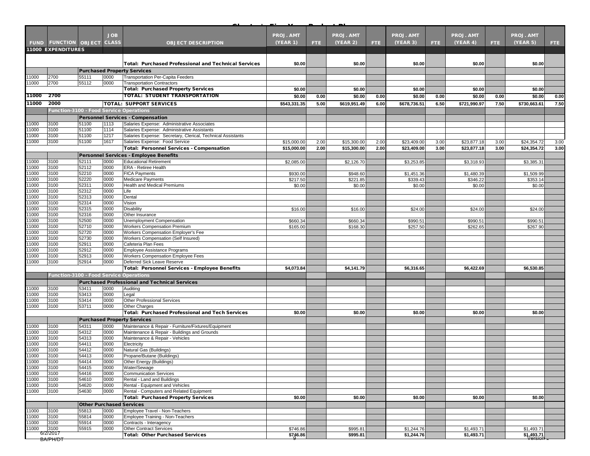|                |                                         |                                 | <b>JOB</b>   |                                                                                                            | <b>PROJ. AMT</b> |            | <b>PROJ. AMT</b> |      | <b>PROJ. AMT</b>       |      | <b>PROJ. AMT</b> |      | <b>PROJ. AMT</b> |      |
|----------------|-----------------------------------------|---------------------------------|--------------|------------------------------------------------------------------------------------------------------------|------------------|------------|------------------|------|------------------------|------|------------------|------|------------------|------|
| <b>FUND</b>    | <b>FUNCTION OBJECT</b>                  |                                 | <b>CLASS</b> | <b>OBJECT DESCRIPTION</b>                                                                                  | (YEAR 1)         | <b>FTE</b> | (YEAR 2)         | FTE. | (YEAR 3)               | FTE. | (YEAR 4)         | FTE. | (YEAR 5)         | FTE: |
|                | <b>11000 EXPENDITURES</b>               |                                 |              |                                                                                                            |                  |            |                  |      |                        |      |                  |      |                  |      |
|                |                                         |                                 |              |                                                                                                            |                  |            |                  |      |                        |      |                  |      |                  |      |
|                |                                         |                                 |              | <b>Total: Purchased Professional and Technical Services</b>                                                | \$0.00           |            | \$0.00           |      | \$0.00                 |      | \$0.00           |      | \$0.00           |      |
|                |                                         |                                 |              | <b>Purchased Property Services</b>                                                                         |                  |            |                  |      |                        |      |                  |      |                  |      |
| 11000          | 2700                                    | 55111                           | 0000         | Transportation Per-Capita Feeders                                                                          |                  |            |                  |      |                        |      |                  |      |                  |      |
| 11000          | 2700                                    | 55112                           | 0000         | <b>Transportation Contractors</b>                                                                          |                  |            |                  |      |                        |      |                  |      |                  |      |
|                |                                         |                                 |              | <b>Total: Purchased Property Services</b>                                                                  | \$0.00           |            | \$0.00           |      | \$0.00                 |      | \$0.00           |      | \$0.00           |      |
| 11000          | 2700                                    |                                 |              | TOTAL: STUDENT TRANSPORTATION                                                                              | \$0.00           | 0.00       | \$0.00           | 0.00 | \$0.00                 | 0.00 | \$0.00           | 0.00 | \$0.00           | 0.00 |
| 11000          | 2000                                    |                                 |              | <b>TOTAL: SUPPORT SERVICES</b>                                                                             | \$543,331.35     | 5.00       | \$619,951.49     | 6.00 | \$678,736.51           | 6.50 | \$721,990.97     | 7.50 | \$730,663.61     | 7.50 |
|                | Function-3100 - Food Service Operations |                                 |              |                                                                                                            |                  |            |                  |      |                        |      |                  |      |                  |      |
|                |                                         |                                 |              | <b>Personnel Services - Compensation</b>                                                                   |                  |            |                  |      |                        |      |                  |      |                  |      |
| 11000          | 3100<br>3100                            | 51100<br>51100                  | 1113<br>1114 | Salaries Expense: Administrative Associates                                                                |                  |            |                  |      |                        |      |                  |      |                  |      |
| 11000<br>11000 | 3100                                    | 51100                           | 1217         | Salaries Expense: Administrative Assistants<br>Salaries Expense: Secretary, Clerical, Technical Assistants |                  |            |                  |      |                        |      |                  |      |                  |      |
| 11000          | 3100                                    | 51100                           | 1617         | Salaries Expense: Food Service                                                                             | \$15,000.00      | 2.00       | \$15,300.00      | 2.00 | \$23,409.00            | 3.00 | \$23,877.18      | 3.00 | \$24,354.72      | 3.00 |
|                |                                         |                                 |              | <b>Total: Personnel Services - Compensation</b>                                                            | \$15,000.00      | 2.00       | \$15,300.00      | 2.00 | \$23,409.00            | 3.00 | \$23,877.18      | 3.00 | \$24,354.72      | 3.00 |
|                |                                         |                                 |              | Personnel Services - Employee Benefits                                                                     |                  |            |                  |      |                        |      |                  |      |                  |      |
| 11000          | 3100                                    | 52111                           | 0000         | <b>Educational Retirement</b>                                                                              | \$2,085.00       |            | \$2,126.70       |      | \$3,253.85             |      | \$3,318.93       |      | \$3,385.31       |      |
| 11000          | 3100                                    | 52112                           | 0000         | <b>ERA - Retiree Health</b>                                                                                |                  |            |                  |      |                        |      |                  |      |                  |      |
| 11000          | 3100                                    | 52210                           | 0000         | <b>FICA Payments</b>                                                                                       | \$930.00         |            | \$948.60         |      | \$1,451.36             |      | \$1,480.39       |      | \$1,509.99       |      |
| 11000<br>11000 | 3100<br>3100                            | 52220                           | 0000<br>0000 | <b>Medicare Payments</b><br><b>Health and Medical Premiums</b>                                             | \$217.50         |            | \$221.85         |      | \$339.43               |      | \$346.22         |      | \$353.14         |      |
| 11000          | 3100                                    | 52311<br>52312                  | 0000         | Life                                                                                                       | \$0.00           |            | \$0.00           |      | \$0.00                 |      | \$0.00           |      | \$0.00           |      |
| 11000          | 3100                                    | 52313                           | 0000         | Dental                                                                                                     |                  |            |                  |      |                        |      |                  |      |                  |      |
| 11000          | 3100                                    | 52314                           | 0000         | Vision                                                                                                     |                  |            |                  |      |                        |      |                  |      |                  |      |
| 11000          | 3100                                    | 52315                           | 0000         | Disability                                                                                                 | \$16.00          |            | \$16.00          |      | \$24.00                |      | \$24.00          |      | \$24.00          |      |
| 11000          | 3100                                    | 52316                           | 0000         | Other Insurance                                                                                            |                  |            |                  |      |                        |      |                  |      |                  |      |
| 11000          | 3100                                    | 52500                           | 0000         | Unemployment Compensation                                                                                  | \$660.34         |            | \$660.34         |      | \$990.51               |      | \$990.51         |      | \$990.51         |      |
| 11000<br>11000 | 3100<br>3100                            | 52710<br>52720                  | 0000<br>0000 | <b>Workers Compensation Premium</b><br>Workers Compensation Employer's Fee                                 | \$165.00         |            | \$168.30         |      | \$257.50               |      | \$262.65         |      | \$267.90         |      |
| 11000          | 3100                                    | 52730                           | 0000         | Workers Compensation (Self Insured)                                                                        |                  |            |                  |      |                        |      |                  |      |                  |      |
| 11000          | 3100                                    | 52911                           | 0000         | Cafeteria Plan Fees                                                                                        |                  |            |                  |      |                        |      |                  |      |                  |      |
| 11000          | 3100                                    | 52912                           | 0000         | Employee Assistance Programs                                                                               |                  |            |                  |      |                        |      |                  |      |                  |      |
| 11000          | 3100                                    | 52913                           | 0000         | Workers Compensation Employee Fees                                                                         |                  |            |                  |      |                        |      |                  |      |                  |      |
| 11000          | 3100                                    | 52914                           | 0000         | Deferred Sick Leave Reserve                                                                                |                  |            |                  |      |                        |      |                  |      |                  |      |
|                |                                         |                                 |              | Total: Personnel Services - Employee Benefits                                                              | \$4,073.84       |            | \$4,141.79       |      | \$6,316.65             |      | \$6,422.69       |      | \$6,530.85       |      |
|                | Function-3100 - Food Service Operations |                                 |              |                                                                                                            |                  |            |                  |      |                        |      |                  |      |                  |      |
|                |                                         |                                 |              | <b>Purchased Professional and Technical Services</b>                                                       |                  |            |                  |      |                        |      |                  |      |                  |      |
| 11000<br>11000 | 3100<br>3100                            | 53411<br>53413                  | 0000<br>0000 | Auditing<br>Legal                                                                                          |                  |            |                  |      |                        |      |                  |      |                  |      |
| 11000          | 3100                                    | 53414                           | 0000         | <b>Other Professional Services</b>                                                                         |                  |            |                  |      |                        |      |                  |      |                  |      |
| 11000          | 3100                                    | 53711                           | 0000         | <b>Other Charges</b>                                                                                       |                  |            |                  |      |                        |      |                  |      |                  |      |
|                |                                         |                                 |              | <b>Total: Purchased Professional and Tech Services</b>                                                     | \$0.00           |            | \$0.00           |      | \$0.00                 |      | \$0.00           |      | \$0.00           |      |
|                |                                         |                                 |              | <b>Purchased Property Services</b>                                                                         |                  |            |                  |      |                        |      |                  |      |                  |      |
| 11000          | 3100                                    | 54311                           | 0000         | Maintenance & Repair - Furniture/Fixtures/Equipment                                                        |                  |            |                  |      |                        |      |                  |      |                  |      |
| 11000          | 3100                                    | 54312                           | 0000         | Maintenance & Repair - Buildings and Grounds                                                               |                  |            |                  |      |                        |      |                  |      |                  |      |
| 11000          | 3100                                    | 54313                           | 0000         | Maintenance & Repair - Vehicles                                                                            |                  |            |                  |      |                        |      |                  |      |                  |      |
| 11000<br>11000 | 3100<br>3100                            | 54411<br>54412                  | 0000<br>0000 | Electricity<br>Natural Gas (Buildings)                                                                     |                  |            |                  |      |                        |      |                  |      |                  |      |
| 11000          | 3100                                    | 54413                           | 0000         | Propane/Butane (Buildings)                                                                                 |                  |            |                  |      |                        |      |                  |      |                  |      |
| 11000          | 3100                                    | 54414                           | 0000         | Other Energy (Buildings)                                                                                   |                  |            |                  |      |                        |      |                  |      |                  |      |
| 11000          | 3100                                    | 54415                           | 0000         | Water/Sewage                                                                                               |                  |            |                  |      |                        |      |                  |      |                  |      |
| 11000          | 3100                                    | 54416                           | 0000         | <b>Communication Services</b>                                                                              |                  |            |                  |      |                        |      |                  |      |                  |      |
| 11000          | 3100                                    | 54610                           | 0000         | Rental - Land and Buildings                                                                                |                  |            |                  |      |                        |      |                  |      |                  |      |
| 11000<br>11000 | 3100<br>3100                            | 54620<br>54630                  | 0000<br>0000 | Rental - Equipment and Vehicles<br>Rental - Computers and Related Equipment                                |                  |            |                  |      |                        |      |                  |      |                  |      |
|                |                                         |                                 |              | <b>Total: Purchased Property Services</b>                                                                  | \$0.00           |            | \$0.00           |      | \$0.00                 |      | \$0.00           |      | \$0.00           |      |
|                |                                         | <b>Other Purchased Services</b> |              |                                                                                                            |                  |            |                  |      |                        |      |                  |      |                  |      |
| 11000          | 3100                                    | 55813                           | 0000         | Employee Travel - Non-Teachers                                                                             |                  |            |                  |      |                        |      |                  |      |                  |      |
| 11000          | 3100                                    | 55814                           | 0000         | Employee Training - Non-Teachers                                                                           |                  |            |                  |      |                        |      |                  |      |                  |      |
| 11000          | 3100                                    | 55914                           | 0000         | Contracts - Interagency                                                                                    |                  |            |                  |      |                        |      |                  |      |                  |      |
| 11000          | 3100                                    | 55915                           | 0000         | <b>Other Contract Services</b>                                                                             | \$746.86         |            | \$995.81         |      | $\overline{31,244.76}$ |      | \$1,493.71       |      | \$1,493.71       |      |
|                | 6/2/2017<br>BA/PH/DT                    |                                 |              | <b>Total: Other Purchased Services</b>                                                                     | \$746.86         |            | \$995.81         |      | \$1,244.76             |      | \$1,493.71       |      | \$1,493,71       |      |